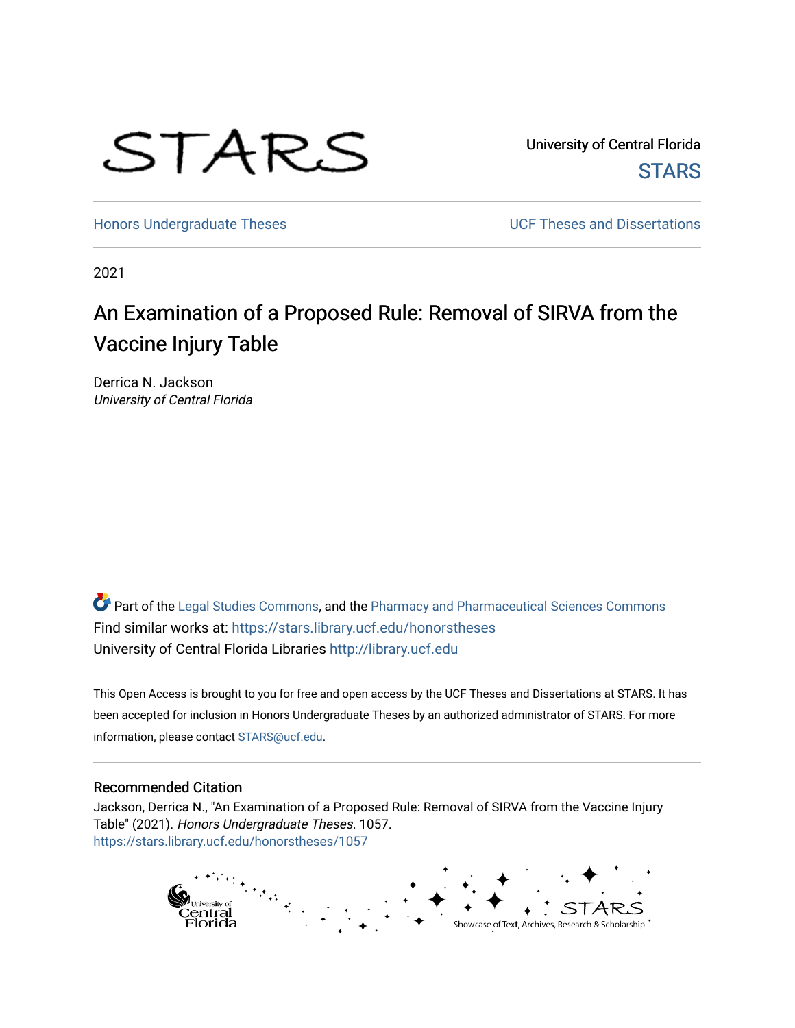

University of Central Florida **STARS** 

[Honors Undergraduate Theses](https://stars.library.ucf.edu/honorstheses) **No. 2018** UCF Theses and Dissertations

2021

# An Examination of a Proposed Rule: Removal of SIRVA from the Vaccine Injury Table

Derrica N. Jackson University of Central Florida

Part of the [Legal Studies Commons,](http://network.bepress.com/hgg/discipline/366?utm_source=stars.library.ucf.edu%2Fhonorstheses%2F1057&utm_medium=PDF&utm_campaign=PDFCoverPages) and the [Pharmacy and Pharmaceutical Sciences Commons](http://network.bepress.com/hgg/discipline/731?utm_source=stars.library.ucf.edu%2Fhonorstheses%2F1057&utm_medium=PDF&utm_campaign=PDFCoverPages)  Find similar works at: <https://stars.library.ucf.edu/honorstheses> University of Central Florida Libraries [http://library.ucf.edu](http://library.ucf.edu/) 

This Open Access is brought to you for free and open access by the UCF Theses and Dissertations at STARS. It has been accepted for inclusion in Honors Undergraduate Theses by an authorized administrator of STARS. For more information, please contact [STARS@ucf.edu.](mailto:STARS@ucf.edu)

#### Recommended Citation

Jackson, Derrica N., "An Examination of a Proposed Rule: Removal of SIRVA from the Vaccine Injury Table" (2021). Honors Undergraduate Theses. 1057. [https://stars.library.ucf.edu/honorstheses/1057](https://stars.library.ucf.edu/honorstheses/1057?utm_source=stars.library.ucf.edu%2Fhonorstheses%2F1057&utm_medium=PDF&utm_campaign=PDFCoverPages)

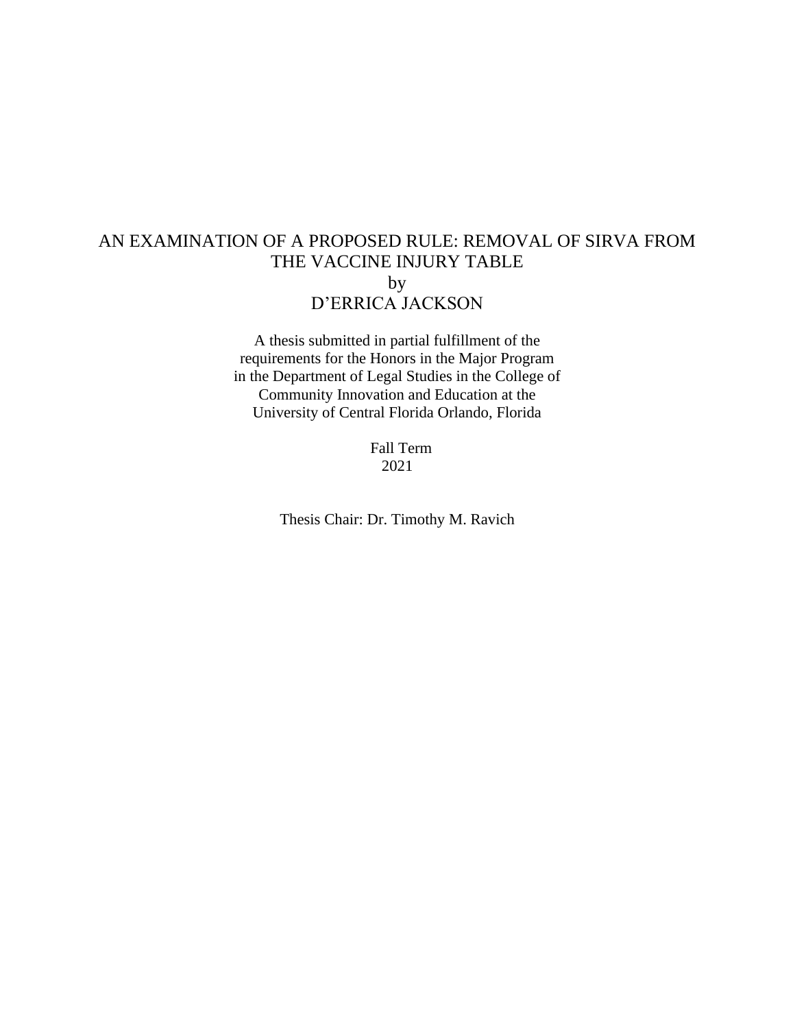## AN EXAMINATION OF A PROPOSED RULE: REMOVAL OF SIRVA FROM THE VACCINE INJURY TABLE by D'ERRICA JACKSON

A thesis submitted in partial fulfillment of the requirements for the Honors in the Major Program in the Department of Legal Studies in the College of Community Innovation and Education at the University of Central Florida Orlando, Florida

> Fall Term 2021

Thesis Chair: Dr. Timothy M. Ravich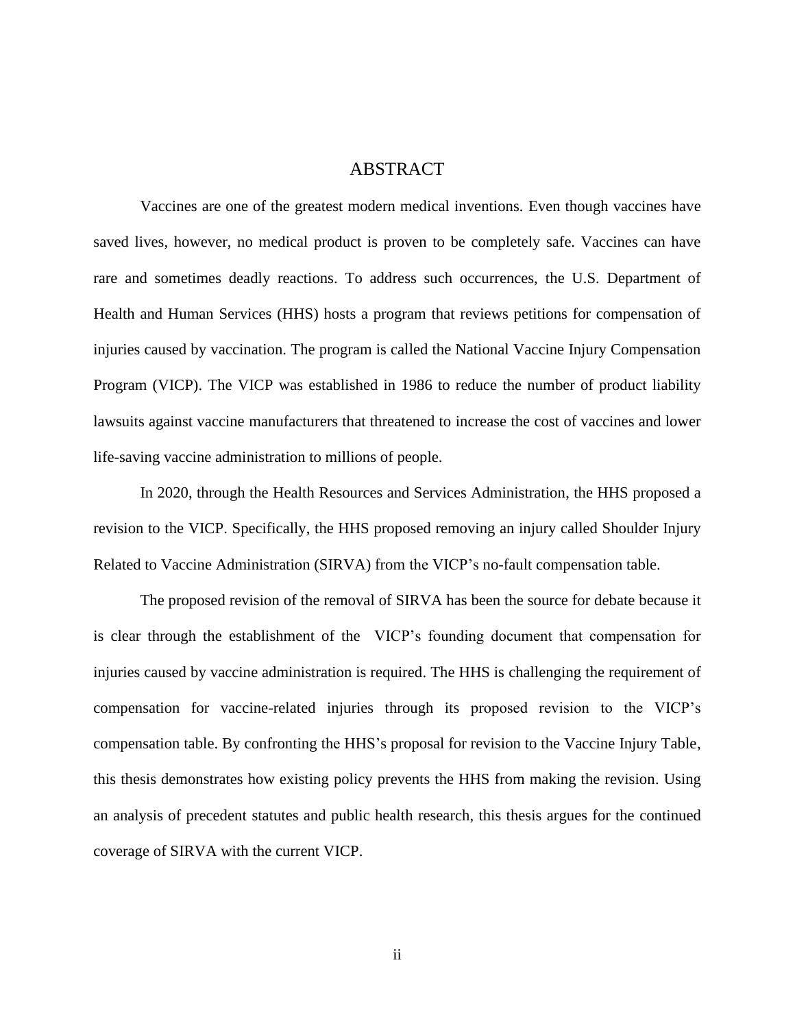#### ABSTRACT

Vaccines are one of the greatest modern medical inventions. Even though vaccines have saved lives, however, no medical product is proven to be completely safe. Vaccines can have rare and sometimes deadly reactions. To address such occurrences, the U.S. Department of Health and Human Services (HHS) hosts a program that reviews petitions for compensation of injuries caused by vaccination. The program is called the National Vaccine Injury Compensation Program (VICP). The VICP was established in 1986 to reduce the number of product liability lawsuits against vaccine manufacturers that threatened to increase the cost of vaccines and lower life-saving vaccine administration to millions of people.

In 2020, through the Health Resources and Services Administration, the HHS proposed a revision to the VICP. Specifically, the HHS proposed removing an injury called Shoulder Injury Related to Vaccine Administration (SIRVA) from the VICP's no-fault compensation table.

The proposed revision of the removal of SIRVA has been the source for debate because it is clear through the establishment of the VICP's founding document that compensation for injuries caused by vaccine administration is required. The HHS is challenging the requirement of compensation for vaccine-related injuries through its proposed revision to the VICP's compensation table. By confronting the HHS's proposal for revision to the Vaccine Injury Table, this thesis demonstrates how existing policy prevents the HHS from making the revision. Using an analysis of precedent statutes and public health research, this thesis argues for the continued coverage of SIRVA with the current VICP.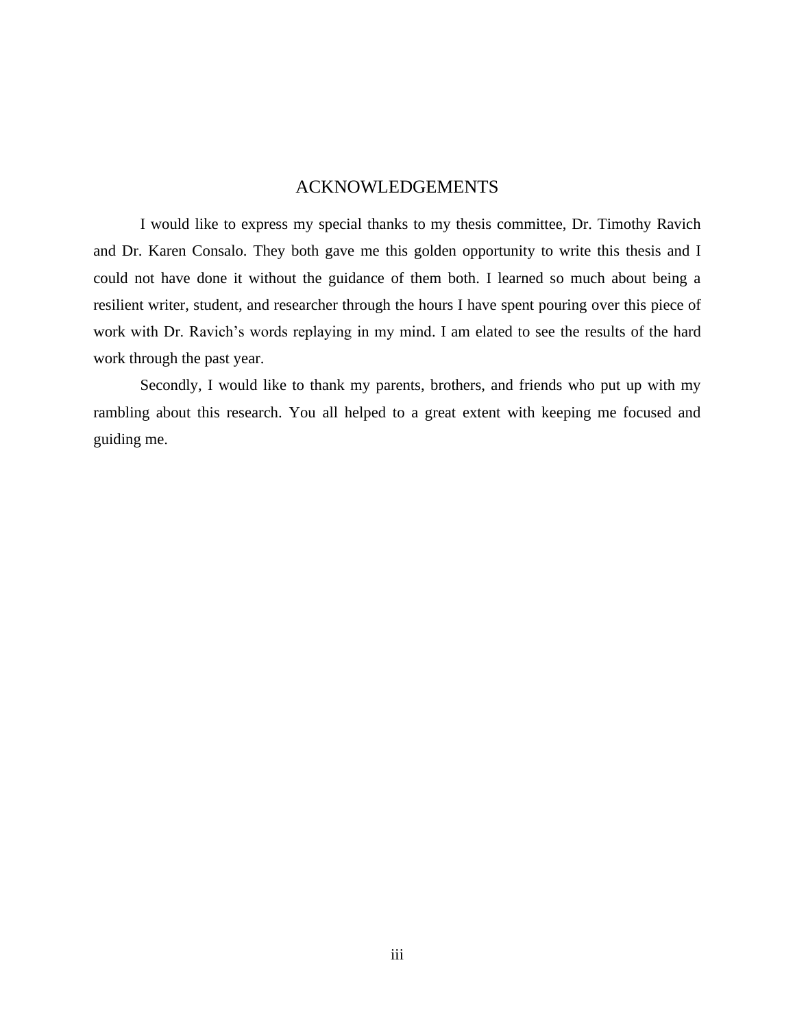### ACKNOWLEDGEMENTS

I would like to express my special thanks to my thesis committee, Dr. Timothy Ravich and Dr. Karen Consalo. They both gave me this golden opportunity to write this thesis and I could not have done it without the guidance of them both. I learned so much about being a resilient writer, student, and researcher through the hours I have spent pouring over this piece of work with Dr. Ravich's words replaying in my mind. I am elated to see the results of the hard work through the past year.

Secondly, I would like to thank my parents, brothers, and friends who put up with my rambling about this research. You all helped to a great extent with keeping me focused and guiding me.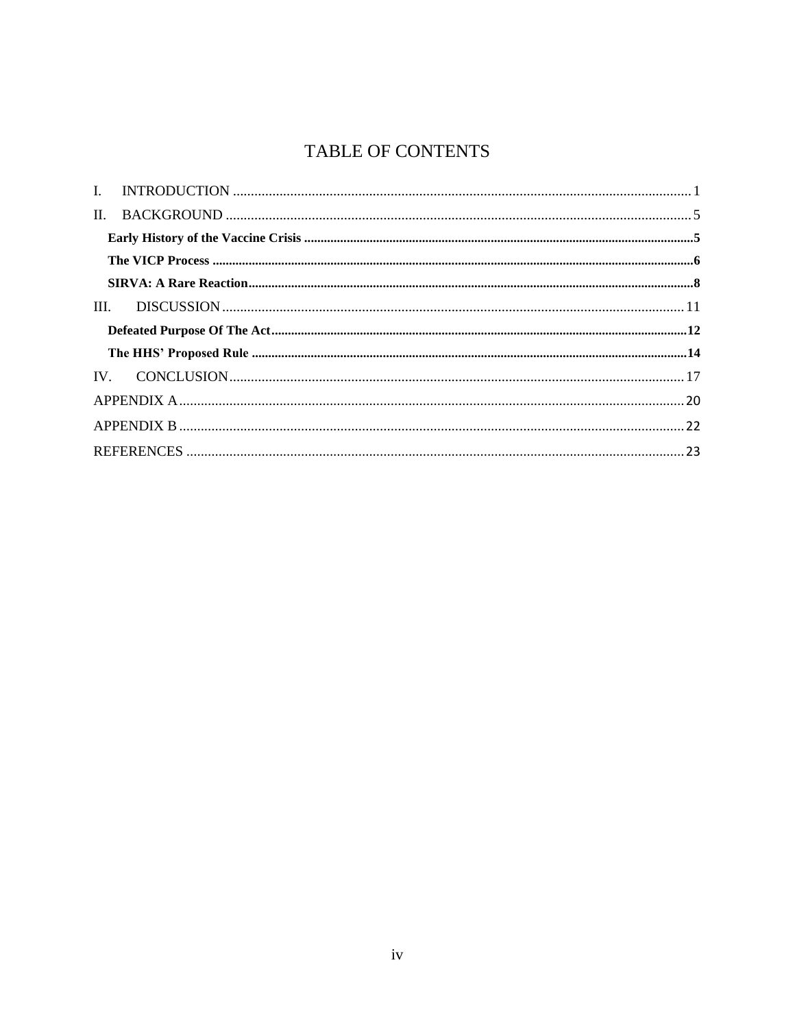## **TABLE OF CONTENTS**

| $\mathbf{L}$ |  |  |  |  |  |
|--------------|--|--|--|--|--|
|              |  |  |  |  |  |
|              |  |  |  |  |  |
|              |  |  |  |  |  |
|              |  |  |  |  |  |
|              |  |  |  |  |  |
|              |  |  |  |  |  |
|              |  |  |  |  |  |
|              |  |  |  |  |  |
|              |  |  |  |  |  |
|              |  |  |  |  |  |
|              |  |  |  |  |  |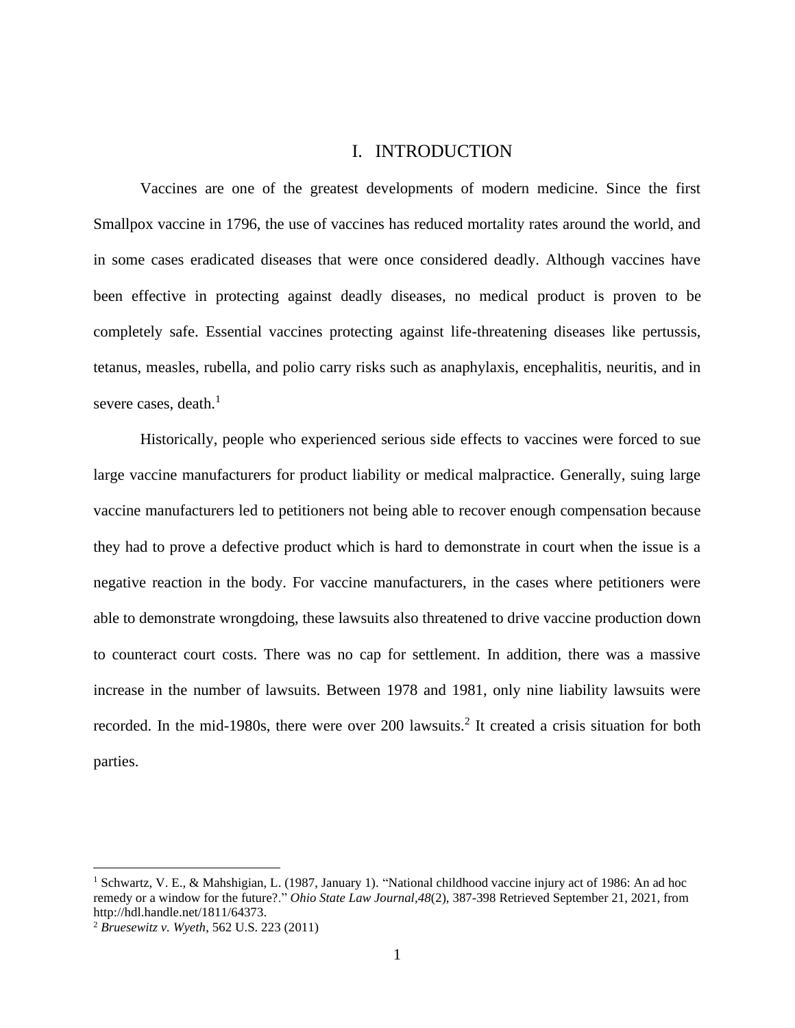### I. INTRODUCTION

<span id="page-5-0"></span>Vaccines are one of the greatest developments of modern medicine. Since the first Smallpox vaccine in 1796, the use of vaccines has reduced mortality rates around the world, and in some cases eradicated diseases that were once considered deadly. Although vaccines have been effective in protecting against deadly diseases, no medical product is proven to be completely safe. Essential vaccines protecting against life-threatening diseases like pertussis, tetanus, measles, rubella, and polio carry risks such as anaphylaxis, encephalitis, neuritis, and in severe cases, death.<sup>1</sup>

Historically, people who experienced serious side effects to vaccines were forced to sue large vaccine manufacturers for product liability or medical malpractice. Generally, suing large vaccine manufacturers led to petitioners not being able to recover enough compensation because they had to prove a defective product which is hard to demonstrate in court when the issue is a negative reaction in the body. For vaccine manufacturers, in the cases where petitioners were able to demonstrate wrongdoing, these lawsuits also threatened to drive vaccine production down to counteract court costs. There was no cap for settlement. In addition, there was a massive increase in the number of lawsuits. Between 1978 and 1981, only nine liability lawsuits were recorded. In the mid-1980s, there were over 200 lawsuits.<sup>2</sup> It created a crisis situation for both parties.

<sup>1</sup> Schwartz, V. E., & Mahshigian, L. (1987, January 1). "National childhood vaccine injury act of 1986: An ad hoc remedy or a window for the future?." *Ohio State Law Journal,48*(2), 387-398 Retrieved September 21, 2021, from http://hdl.handle.net/1811/64373.

<sup>2</sup> *Bruesewitz v. Wyeth*, 562 U.S. 223 (2011)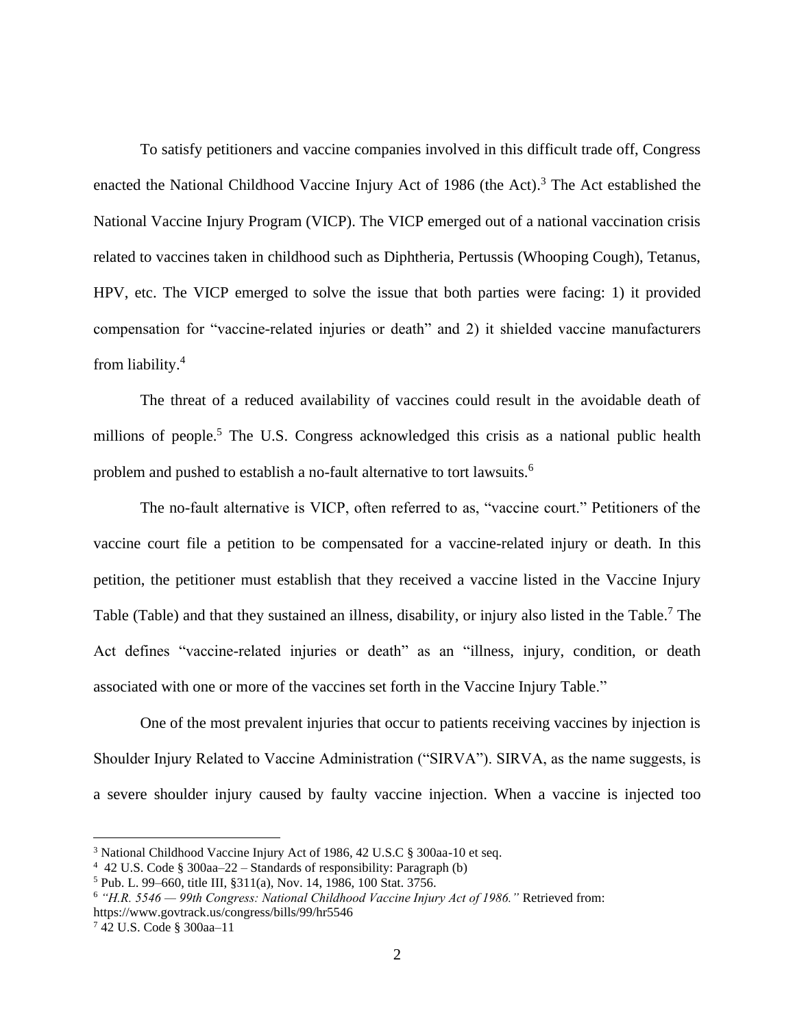To satisfy petitioners and vaccine companies involved in this difficult trade off, Congress enacted the National Childhood Vaccine Injury Act of 1986 (the Act).<sup>3</sup> The Act established the National Vaccine Injury Program (VICP). The VICP emerged out of a national vaccination crisis related to vaccines taken in childhood such as Diphtheria, Pertussis (Whooping Cough), Tetanus, HPV, etc. The VICP emerged to solve the issue that both parties were facing: 1) it provided compensation for "vaccine-related injuries or death" and 2) it shielded vaccine manufacturers from liability.<sup>4</sup>

The threat of a reduced availability of vaccines could result in the avoidable death of millions of people.<sup>5</sup> The U.S. Congress acknowledged this crisis as a national public health problem and pushed to establish a no-fault alternative to tort lawsuits.<sup>6</sup>

The no-fault alternative is VICP, often referred to as, "vaccine court." Petitioners of the vaccine court file a petition to be compensated for a vaccine-related injury or death. In this petition, the petitioner must establish that they received a vaccine listed in the Vaccine Injury Table (Table) and that they sustained an illness, disability, or injury also listed in the Table.<sup>7</sup> The Act defines "vaccine-related injuries or death" as an "illness, injury, condition, or death associated with one or more of the vaccines set forth in the Vaccine Injury Table."

One of the most prevalent injuries that occur to patients receiving vaccines by injection is Shoulder Injury Related to Vaccine Administration ("SIRVA"). SIRVA, as the name suggests, is a severe shoulder injury caused by faulty vaccine injection. When a vaccine is injected too

<sup>&</sup>lt;sup>3</sup> National Childhood Vaccine Injury Act of 1986, 42 U.S.C § 300aa-10 et seq.

<sup>4</sup> 42 U.S. Code § 300aa–22 – Standards of responsibility: Paragraph (b)

<sup>5</sup> Pub. L. 99–660, title III, §311(a), Nov. 14, 1986, 100 Stat. 3756.

<sup>6</sup> *"H.R. 5546 — 99th Congress: National Childhood Vaccine Injury Act of 1986."* Retrieved from: https://www.govtrack.us/congress/bills/99/hr5546

<sup>7</sup> 42 U.S. Code § 300aa–11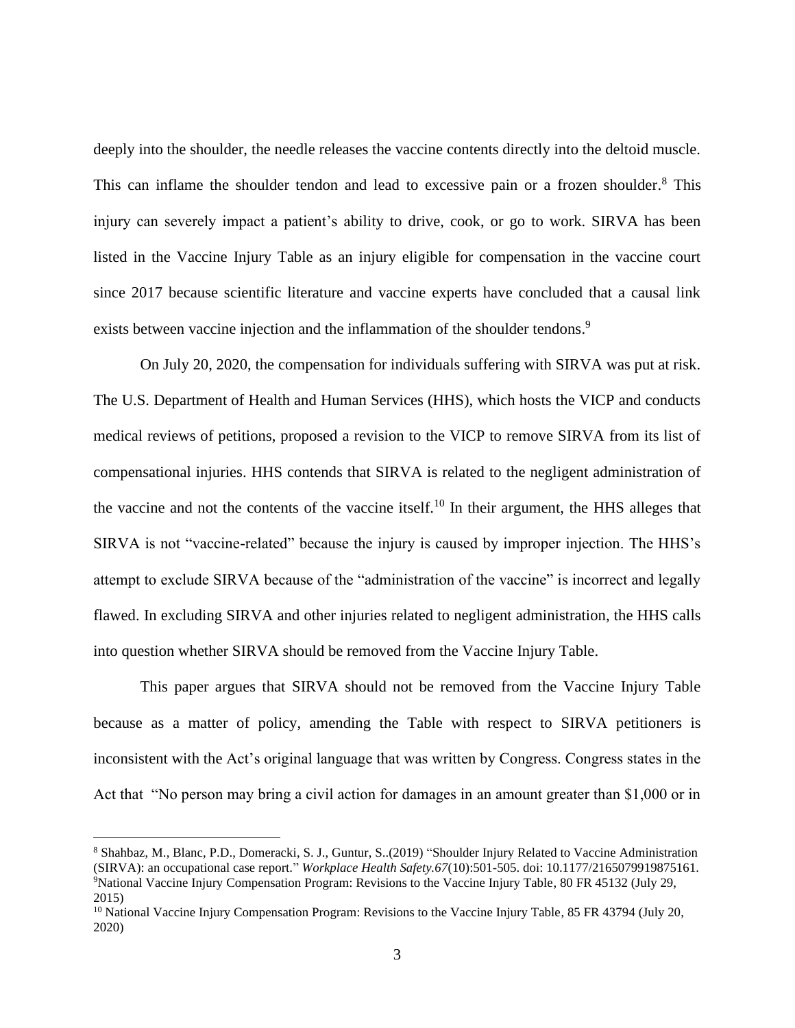deeply into the shoulder, the needle releases the vaccine contents directly into the deltoid muscle. This can inflame the shoulder tendon and lead to excessive pain or a frozen shoulder.<sup>8</sup> This injury can severely impact a patient's ability to drive, cook, or go to work. SIRVA has been listed in the Vaccine Injury Table as an injury eligible for compensation in the vaccine court since 2017 because scientific literature and vaccine experts have concluded that a causal link exists between vaccine injection and the inflammation of the shoulder tendons.<sup>9</sup>

On July 20, 2020, the compensation for individuals suffering with SIRVA was put at risk. The U.S. Department of Health and Human Services (HHS), which hosts the VICP and conducts medical reviews of petitions, proposed a revision to the VICP to remove SIRVA from its list of compensational injuries. HHS contends that SIRVA is related to the negligent administration of the vaccine and not the contents of the vaccine itself.<sup>10</sup> In their argument, the HHS alleges that SIRVA is not "vaccine-related" because the injury is caused by improper injection. The HHS's attempt to exclude SIRVA because of the "administration of the vaccine" is incorrect and legally flawed. In excluding SIRVA and other injuries related to negligent administration, the HHS calls into question whether SIRVA should be removed from the Vaccine Injury Table.

This paper argues that SIRVA should not be removed from the Vaccine Injury Table because as a matter of policy, amending the Table with respect to SIRVA petitioners is inconsistent with the Act's original language that was written by Congress. Congress states in the Act that "No person may bring a civil action for damages in an amount greater than \$1,000 or in

<sup>8</sup> Shahbaz, M., Blanc, P.D., Domeracki, S. J., Guntur, S..(2019) "Shoulder Injury Related to Vaccine Administration (SIRVA): an occupational case report." *Workplace Health Safety.67*(10):501-505. doi: 10.1177/2165079919875161. <sup>9</sup>National Vaccine Injury Compensation Program: Revisions to the Vaccine Injury Table, 80 FR 45132 (July 29, 2015)

<sup>&</sup>lt;sup>10</sup> National Vaccine Injury Compensation Program: Revisions to the Vaccine Injury Table, 85 FR 43794 (July 20, 2020)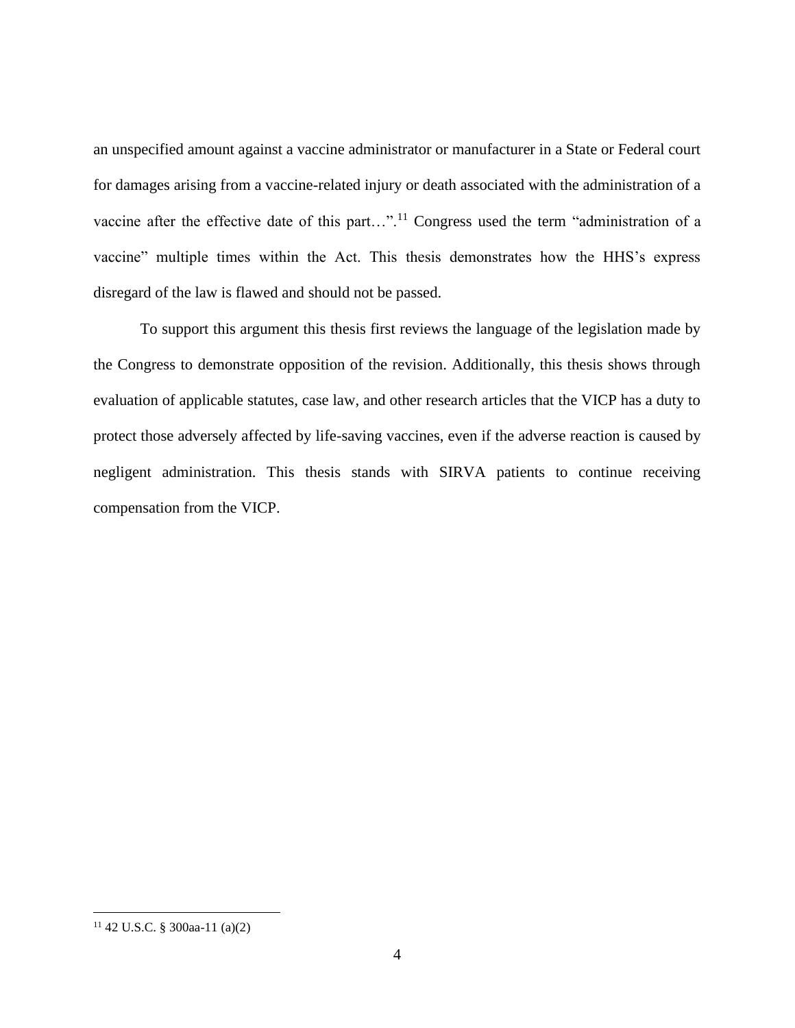an unspecified amount against a vaccine administrator or manufacturer in a State or Federal court for damages arising from a vaccine-related injury or death associated with the administration of a vaccine after the effective date of this part...".<sup>11</sup> Congress used the term "administration of a vaccine" multiple times within the Act. This thesis demonstrates how the HHS's express disregard of the law is flawed and should not be passed.

To support this argument this thesis first reviews the language of the legislation made by the Congress to demonstrate opposition of the revision. Additionally, this thesis shows through evaluation of applicable statutes, case law, and other research articles that the VICP has a duty to protect those adversely affected by life-saving vaccines, even if the adverse reaction is caused by negligent administration. This thesis stands with SIRVA patients to continue receiving compensation from the VICP.

 $11$  42 U.S.C. § 300aa-11 (a)(2)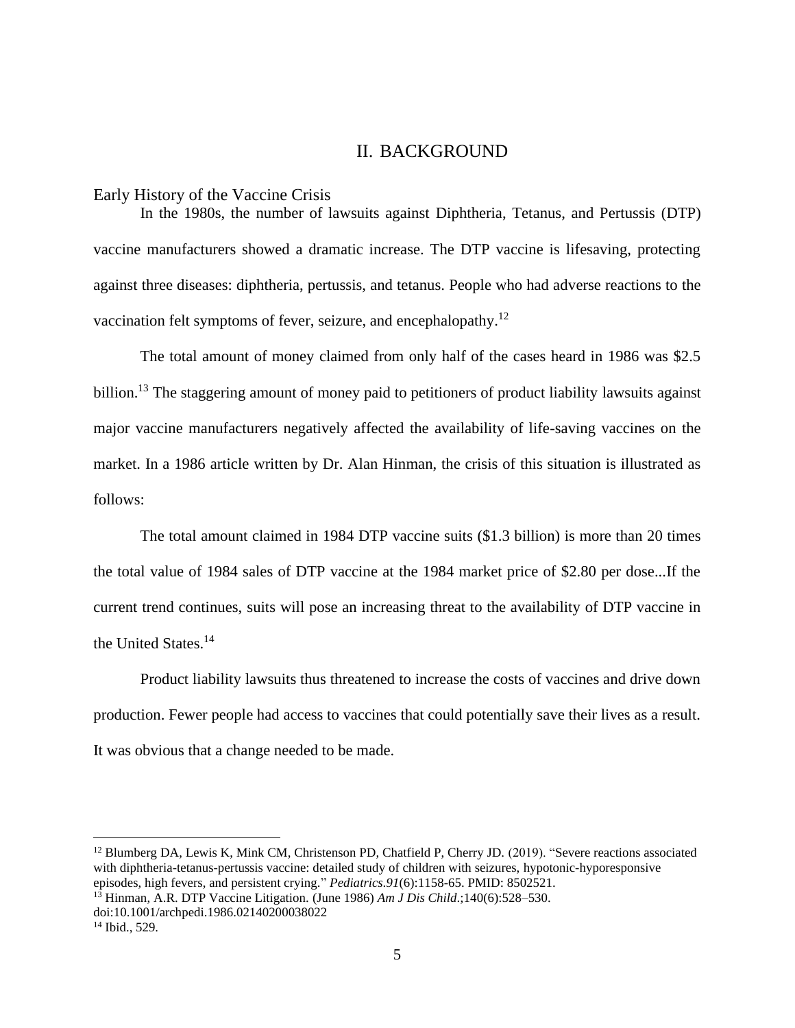### II. BACKGROUND

#### <span id="page-9-1"></span><span id="page-9-0"></span>Early History of the Vaccine Crisis

In the 1980s, the number of lawsuits against Diphtheria, Tetanus, and Pertussis (DTP) vaccine manufacturers showed a dramatic increase. The DTP vaccine is lifesaving, protecting against three diseases: diphtheria, pertussis, and tetanus. People who had adverse reactions to the vaccination felt symptoms of fever, seizure, and encephalopathy.<sup>12</sup>

The total amount of money claimed from only half of the cases heard in 1986 was \$2.5 billion.<sup>13</sup> The staggering amount of money paid to petitioners of product liability lawsuits against major vaccine manufacturers negatively affected the availability of life-saving vaccines on the market. In a 1986 article written by Dr. Alan Hinman, the crisis of this situation is illustrated as follows:

The total amount claimed in 1984 DTP vaccine suits (\$1.3 billion) is more than 20 times the total value of 1984 sales of DTP vaccine at the 1984 market price of \$2.80 per dose...If the current trend continues, suits will pose an increasing threat to the availability of DTP vaccine in the United States.<sup>14</sup>

Product liability lawsuits thus threatened to increase the costs of vaccines and drive down production. Fewer people had access to vaccines that could potentially save their lives as a result. It was obvious that a change needed to be made.

<sup>&</sup>lt;sup>12</sup> Blumberg DA, Lewis K, Mink CM, Christenson PD, Chatfield P, Cherry JD. (2019). "Severe reactions associated with diphtheria-tetanus-pertussis vaccine: detailed study of children with seizures, hypotonic-hyporesponsive episodes, high fevers, and persistent crying." *Pediatrics*.*91*(6):1158-65. PMID: 8502521.

<sup>13</sup> Hinman, A.R. DTP Vaccine Litigation. (June 1986) *Am J Dis Child*.;140(6):528–530. doi:10.1001/archpedi.1986.02140200038022

<sup>&</sup>lt;sup>14</sup> Ibid., 529.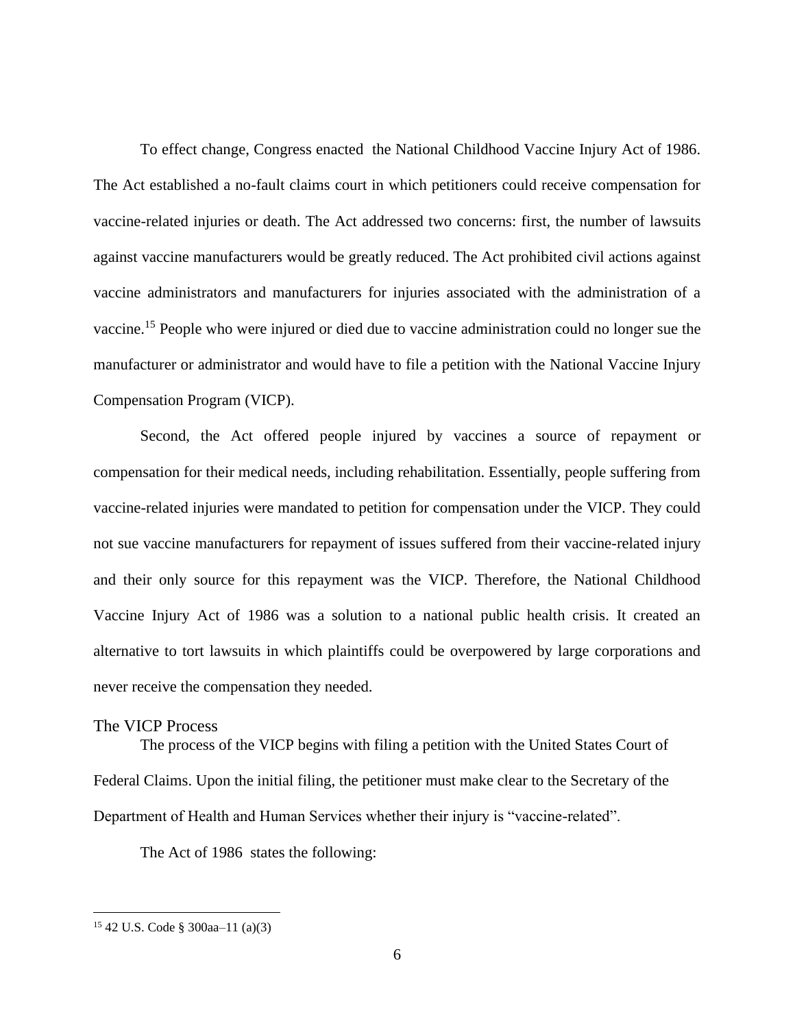To effect change, Congress enacted the National Childhood Vaccine Injury Act of 1986. The Act established a no-fault claims court in which petitioners could receive compensation for vaccine-related injuries or death. The Act addressed two concerns: first, the number of lawsuits against vaccine manufacturers would be greatly reduced. The Act prohibited civil actions against vaccine administrators and manufacturers for injuries associated with the administration of a vaccine. <sup>15</sup> People who were injured or died due to vaccine administration could no longer sue the manufacturer or administrator and would have to file a petition with the National Vaccine Injury Compensation Program (VICP).

Second, the Act offered people injured by vaccines a source of repayment or compensation for their medical needs, including rehabilitation. Essentially, people suffering from vaccine-related injuries were mandated to petition for compensation under the VICP. They could not sue vaccine manufacturers for repayment of issues suffered from their vaccine-related injury and their only source for this repayment was the VICP. Therefore, the National Childhood Vaccine Injury Act of 1986 was a solution to a national public health crisis. It created an alternative to tort lawsuits in which plaintiffs could be overpowered by large corporations and never receive the compensation they needed.

#### <span id="page-10-0"></span>The VICP Process

The process of the VICP begins with filing a petition with the United States Court of Federal Claims. Upon the initial filing, the petitioner must make clear to the Secretary of the Department of Health and Human Services whether their injury is "vaccine-related".

The Act of 1986 states the following:

<sup>15</sup> 42 U.S. Code § 300aa–11 (a)(3)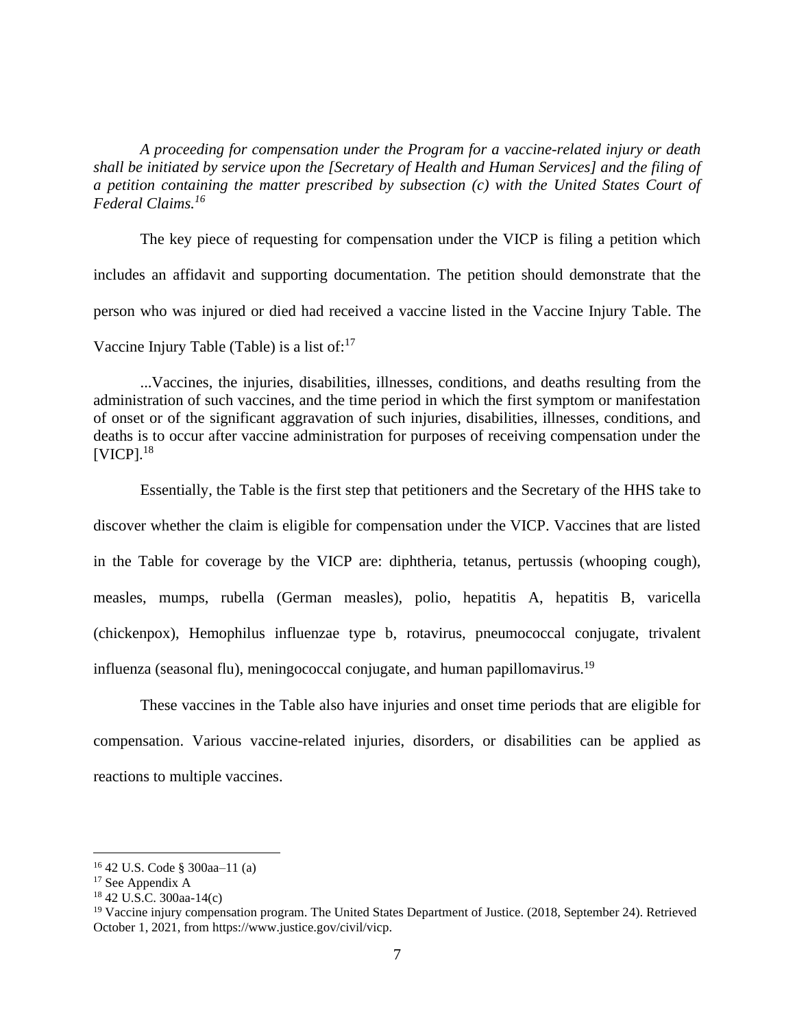*A proceeding for compensation under the Program for a vaccine-related injury or death shall be initiated by service upon the [Secretary of Health and Human Services] and the filing of a petition containing the matter prescribed by subsection (c) with the United States Court of Federal Claims.<sup>16</sup>*

The key piece of requesting for compensation under the VICP is filing a petition which includes an affidavit and supporting documentation. The petition should demonstrate that the person who was injured or died had received a vaccine listed in the Vaccine Injury Table. The Vaccine Injury Table (Table) is a list of: $17$ 

...Vaccines, the injuries, disabilities, illnesses, conditions, and deaths resulting from the administration of such vaccines, and the time period in which the first symptom or manifestation of onset or of the significant aggravation of such injuries, disabilities, illnesses, conditions, and deaths is to occur after vaccine administration for purposes of receiving compensation under the [VICP]. 18

Essentially, the Table is the first step that petitioners and the Secretary of the HHS take to discover whether the claim is eligible for compensation under the VICP. Vaccines that are listed in the Table for coverage by the VICP are: diphtheria, tetanus, pertussis (whooping cough), measles, mumps, rubella (German measles), polio, hepatitis A, hepatitis B, varicella (chickenpox), Hemophilus influenzae type b, rotavirus, pneumococcal conjugate, trivalent influenza (seasonal flu), meningococcal conjugate, and human papillomavirus.<sup>19</sup>

These vaccines in the Table also have injuries and onset time periods that are eligible for compensation. Various vaccine-related injuries, disorders, or disabilities can be applied as reactions to multiple vaccines.

<sup>16</sup> 42 U.S. Code § 300aa–11 (a)

<sup>&</sup>lt;sup>17</sup> See Appendix A

<sup>18</sup> 42 U.S.C. 300aa-14(c)

<sup>&</sup>lt;sup>19</sup> Vaccine injury compensation program. The United States Department of Justice. (2018, September 24). Retrieved October 1, 2021, from https://www.justice.gov/civil/vicp.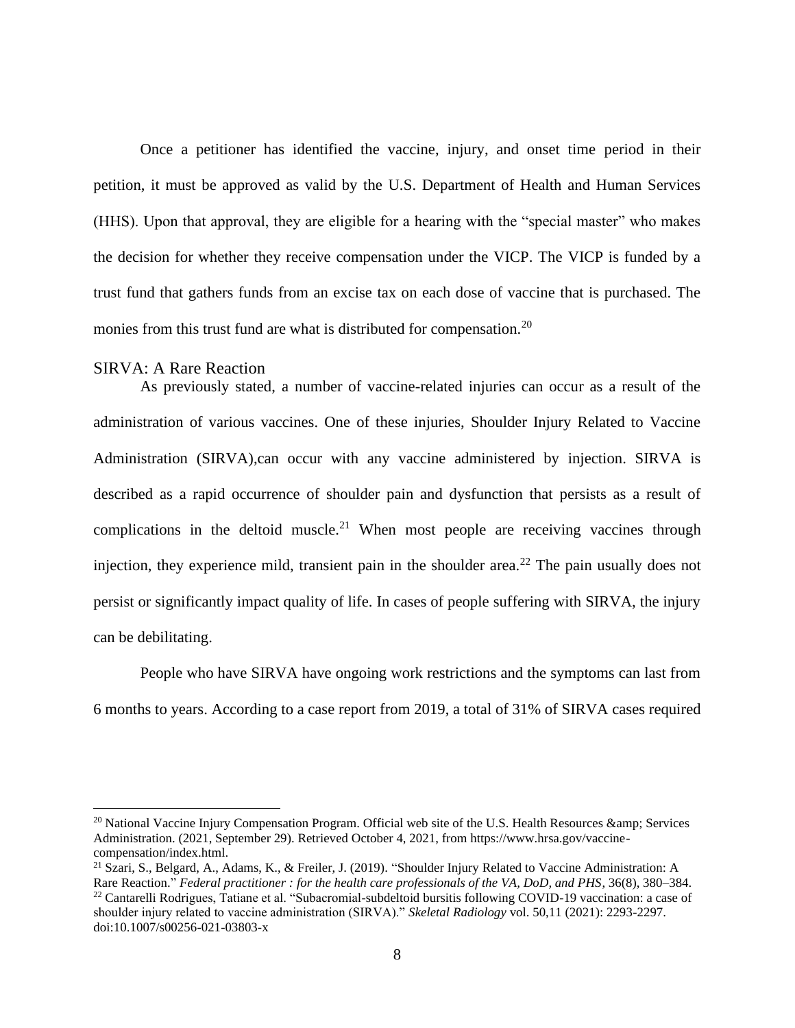Once a petitioner has identified the vaccine, injury, and onset time period in their petition, it must be approved as valid by the U.S. Department of Health and Human Services (HHS). Upon that approval, they are eligible for a hearing with the "special master" who makes the decision for whether they receive compensation under the VICP. The VICP is funded by a trust fund that gathers funds from an excise tax on each dose of vaccine that is purchased. The monies from this trust fund are what is distributed for compensation.<sup>20</sup>

#### <span id="page-12-0"></span>SIRVA: A Rare Reaction

As previously stated, a number of vaccine-related injuries can occur as a result of the administration of various vaccines. One of these injuries, Shoulder Injury Related to Vaccine Administration (SIRVA),can occur with any vaccine administered by injection. SIRVA is described as a rapid occurrence of shoulder pain and dysfunction that persists as a result of complications in the deltoid muscle.<sup>21</sup> When most people are receiving vaccines through injection, they experience mild, transient pain in the shoulder area.<sup>22</sup> The pain usually does not persist or significantly impact quality of life. In cases of people suffering with SIRVA, the injury can be debilitating.

People who have SIRVA have ongoing work restrictions and the symptoms can last from 6 months to years. According to a case report from 2019, a total of 31% of SIRVA cases required

 $^{20}$  National Vaccine Injury Compensation Program. Official web site of the U.S. Health Resources  $\&$ amp: Services Administration. (2021, September 29). Retrieved October 4, 2021, from https://www.hrsa.gov/vaccinecompensation/index.html.

<sup>&</sup>lt;sup>21</sup> Szari, S., Belgard, A., Adams, K., & Freiler, J. (2019). "Shoulder Injury Related to Vaccine Administration: A Rare Reaction." *Federal practitioner : for the health care professionals of the VA, DoD, and PHS*, 36(8), 380–384. <sup>22</sup> Cantarelli Rodrigues, Tatiane et al. "Subacromial-subdeltoid bursitis following COVID-19 vaccination: a case of shoulder injury related to vaccine administration (SIRVA)." *Skeletal Radiology* vol. 50,11 (2021): 2293-2297. doi:10.1007/s00256-021-03803-x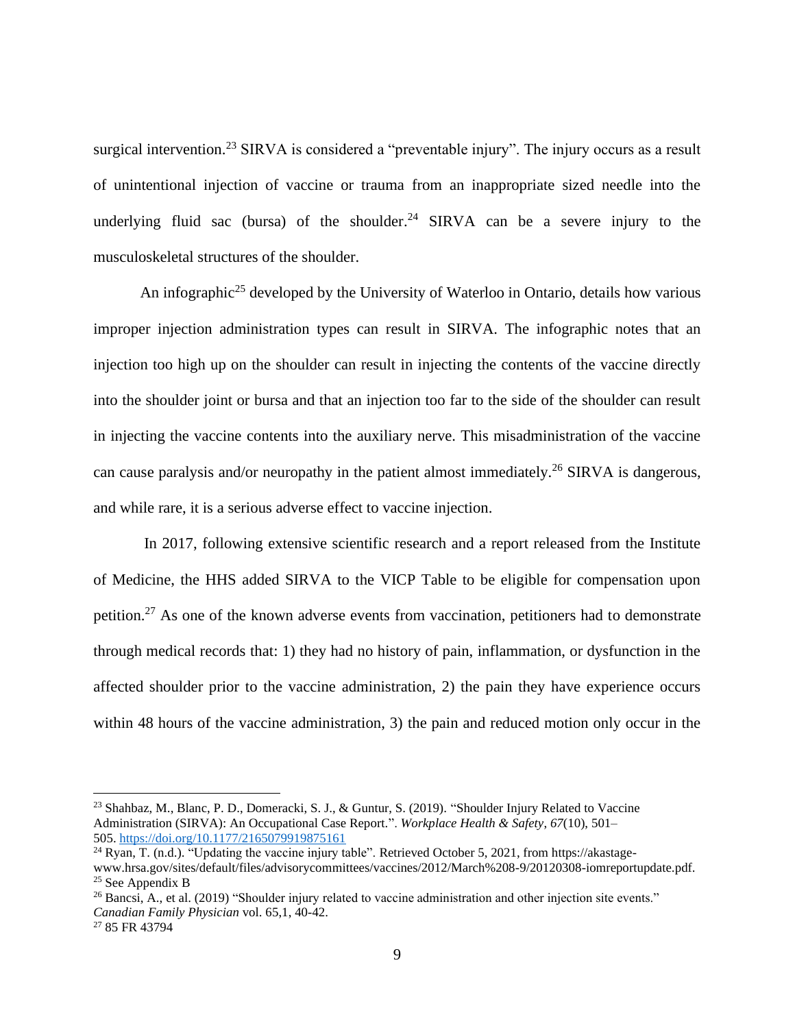surgical intervention.<sup>23</sup> SIRVA is considered a "preventable injury". The injury occurs as a result of unintentional injection of vaccine or trauma from an inappropriate sized needle into the underlying fluid sac (bursa) of the shoulder.<sup>24</sup> SIRVA can be a severe injury to the musculoskeletal structures of the shoulder.

An infographic<sup>25</sup> developed by the University of Waterloo in Ontario, details how various improper injection administration types can result in SIRVA. The infographic notes that an injection too high up on the shoulder can result in injecting the contents of the vaccine directly into the shoulder joint or bursa and that an injection too far to the side of the shoulder can result in injecting the vaccine contents into the auxiliary nerve. This misadministration of the vaccine can cause paralysis and/or neuropathy in the patient almost immediately.<sup>26</sup> SIRVA is dangerous, and while rare, it is a serious adverse effect to vaccine injection.

In 2017, following extensive scientific research and a report released from the Institute of Medicine, the HHS added SIRVA to the VICP Table to be eligible for compensation upon petition.<sup>27</sup> As one of the known adverse events from vaccination, petitioners had to demonstrate through medical records that: 1) they had no history of pain, inflammation, or dysfunction in the affected shoulder prior to the vaccine administration, 2) the pain they have experience occurs within 48 hours of the vaccine administration, 3) the pain and reduced motion only occur in the

<sup>23</sup> Shahbaz, M., Blanc, P. D., Domeracki, S. J., & Guntur, S. (2019). "Shoulder Injury Related to Vaccine Administration (SIRVA): An Occupational Case Report.". *Workplace Health & Safety*, *67*(10), 501– 505. <https://doi.org/10.1177/2165079919875161>

<sup>24</sup> Ryan, T. (n.d.). "Updating the vaccine injury table". Retrieved October 5, 2021, from https://akastagewww.hrsa.gov/sites/default/files/advisorycommittees/vaccines/2012/March%208-9/20120308-iomreportupdate.pdf.  $25$  See Appendix B

<sup>&</sup>lt;sup>26</sup> Bancsi, A., et al. (2019) "Shoulder injury related to vaccine administration and other injection site events." *Canadian Family Physician* vol. 65,1, 40-42.

<sup>27</sup> 85 FR 43794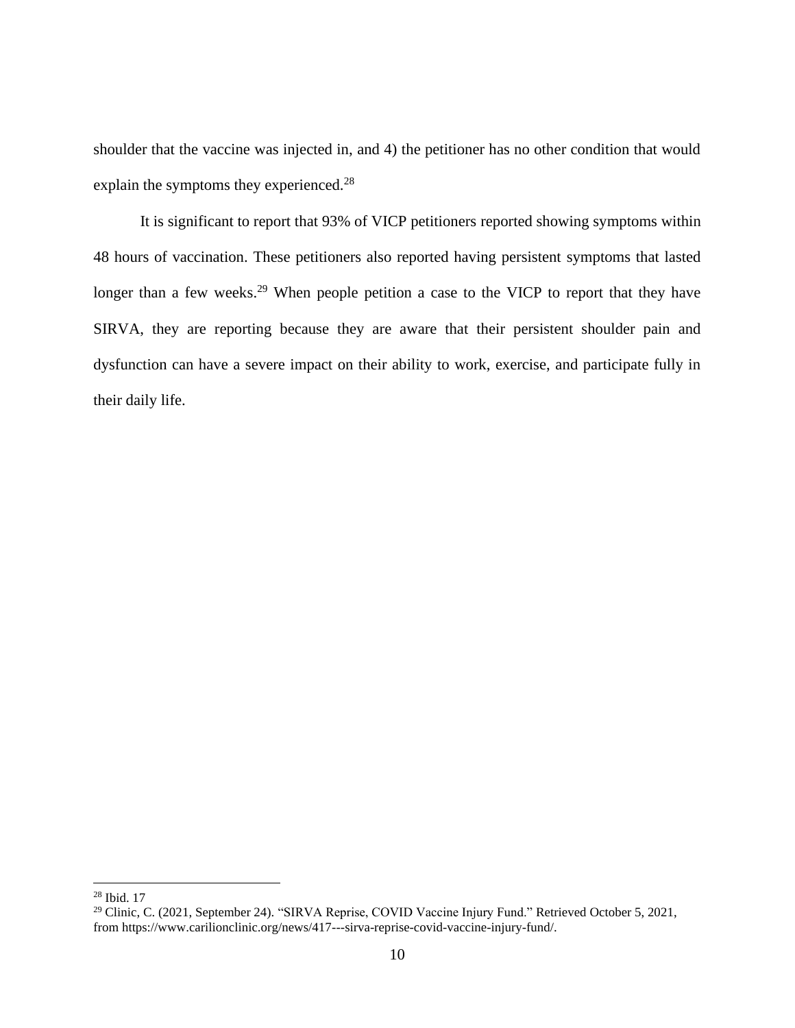shoulder that the vaccine was injected in, and 4) the petitioner has no other condition that would explain the symptoms they experienced.<sup>28</sup>

It is significant to report that 93% of VICP petitioners reported showing symptoms within 48 hours of vaccination. These petitioners also reported having persistent symptoms that lasted longer than a few weeks.<sup>29</sup> When people petition a case to the VICP to report that they have SIRVA, they are reporting because they are aware that their persistent shoulder pain and dysfunction can have a severe impact on their ability to work, exercise, and participate fully in their daily life.

<sup>28</sup> Ibid. 17

<sup>&</sup>lt;sup>29</sup> Clinic, C. (2021, September 24). "SIRVA Reprise, COVID Vaccine Injury Fund." Retrieved October 5, 2021, from https://www.carilionclinic.org/news/417---sirva-reprise-covid-vaccine-injury-fund/.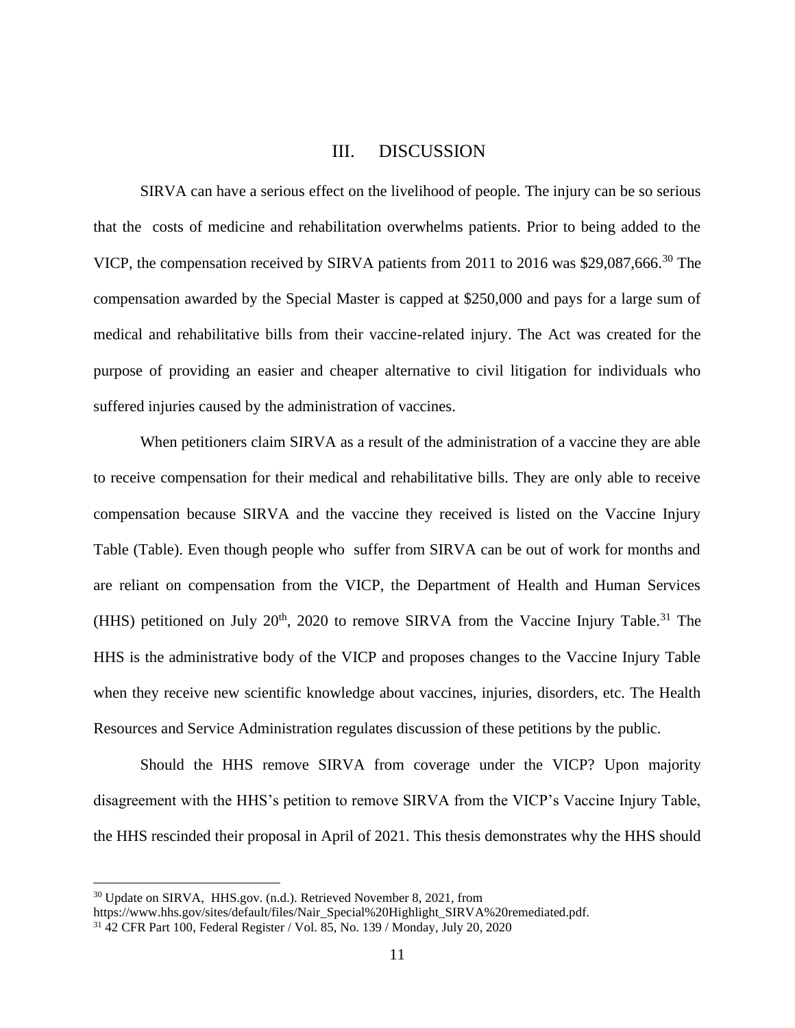### III. DISCUSSION

<span id="page-15-0"></span>SIRVA can have a serious effect on the livelihood of people. The injury can be so serious that the costs of medicine and rehabilitation overwhelms patients. Prior to being added to the VICP, the compensation received by SIRVA patients from 2011 to 2016 was \$29,087,666.<sup>30</sup> The compensation awarded by the Special Master is capped at \$250,000 and pays for a large sum of medical and rehabilitative bills from their vaccine-related injury. The Act was created for the purpose of providing an easier and cheaper alternative to civil litigation for individuals who suffered injuries caused by the administration of vaccines.

When petitioners claim SIRVA as a result of the administration of a vaccine they are able to receive compensation for their medical and rehabilitative bills. They are only able to receive compensation because SIRVA and the vaccine they received is listed on the Vaccine Injury Table (Table). Even though people who suffer from SIRVA can be out of work for months and are reliant on compensation from the VICP, the Department of Health and Human Services (HHS) petitioned on July  $20<sup>th</sup>$ , 2020 to remove SIRVA from the Vaccine Injury Table.<sup>31</sup> The HHS is the administrative body of the VICP and proposes changes to the Vaccine Injury Table when they receive new scientific knowledge about vaccines, injuries, disorders, etc. The Health Resources and Service Administration regulates discussion of these petitions by the public.

Should the HHS remove SIRVA from coverage under the VICP? Upon majority disagreement with the HHS's petition to remove SIRVA from the VICP's Vaccine Injury Table, the HHS rescinded their proposal in April of 2021. This thesis demonstrates why the HHS should

<sup>&</sup>lt;sup>30</sup> Update on SIRVA, HHS.gov. (n.d.). Retrieved November 8, 2021, from

https://www.hhs.gov/sites/default/files/Nair\_Special%20Highlight\_SIRVA%20remediated.pdf.

<sup>31</sup> 42 CFR Part 100, Federal Register / Vol. 85, No. 139 / Monday, July 20, 2020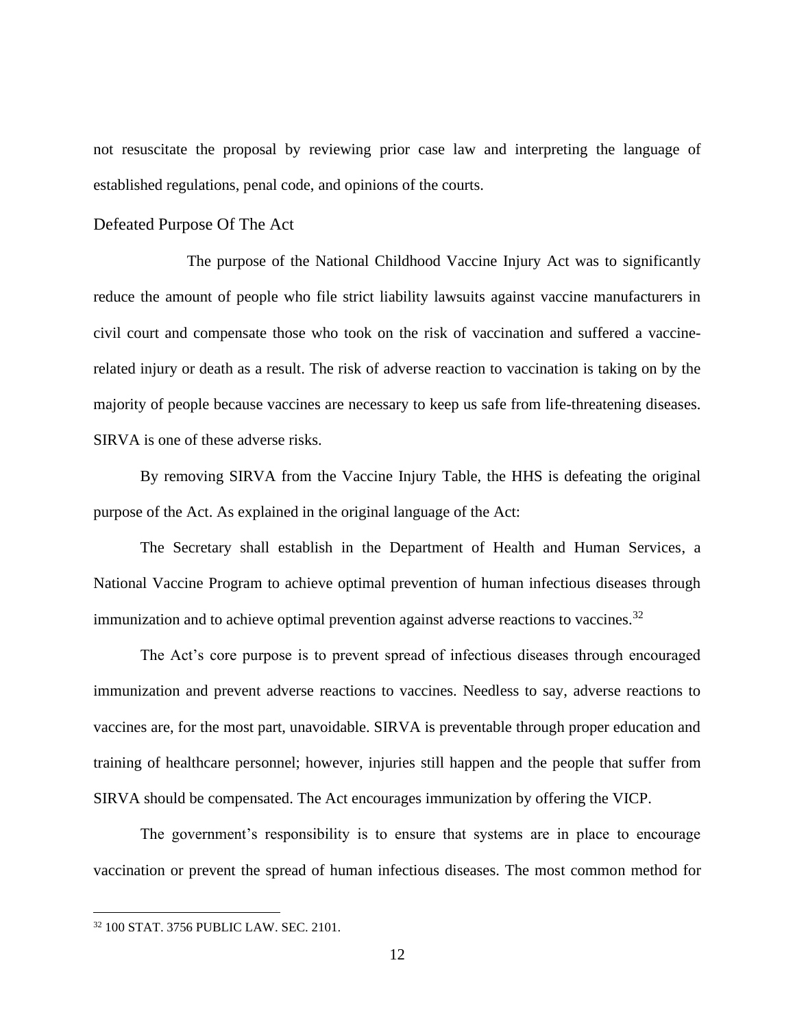not resuscitate the proposal by reviewing prior case law and interpreting the language of established regulations, penal code, and opinions of the courts.

#### <span id="page-16-0"></span>Defeated Purpose Of The Act

The purpose of the National Childhood Vaccine Injury Act was to significantly reduce the amount of people who file strict liability lawsuits against vaccine manufacturers in civil court and compensate those who took on the risk of vaccination and suffered a vaccinerelated injury or death as a result. The risk of adverse reaction to vaccination is taking on by the majority of people because vaccines are necessary to keep us safe from life-threatening diseases. SIRVA is one of these adverse risks.

By removing SIRVA from the Vaccine Injury Table, the HHS is defeating the original purpose of the Act. As explained in the original language of the Act:

The Secretary shall establish in the Department of Health and Human Services, a National Vaccine Program to achieve optimal prevention of human infectious diseases through immunization and to achieve optimal prevention against adverse reactions to vaccines.<sup>32</sup>

The Act's core purpose is to prevent spread of infectious diseases through encouraged immunization and prevent adverse reactions to vaccines. Needless to say, adverse reactions to vaccines are, for the most part, unavoidable. SIRVA is preventable through proper education and training of healthcare personnel; however, injuries still happen and the people that suffer from SIRVA should be compensated. The Act encourages immunization by offering the VICP.

The government's responsibility is to ensure that systems are in place to encourage vaccination or prevent the spread of human infectious diseases. The most common method for

<sup>32</sup> 100 STAT. 3756 PUBLIC LAW. SEC. 2101.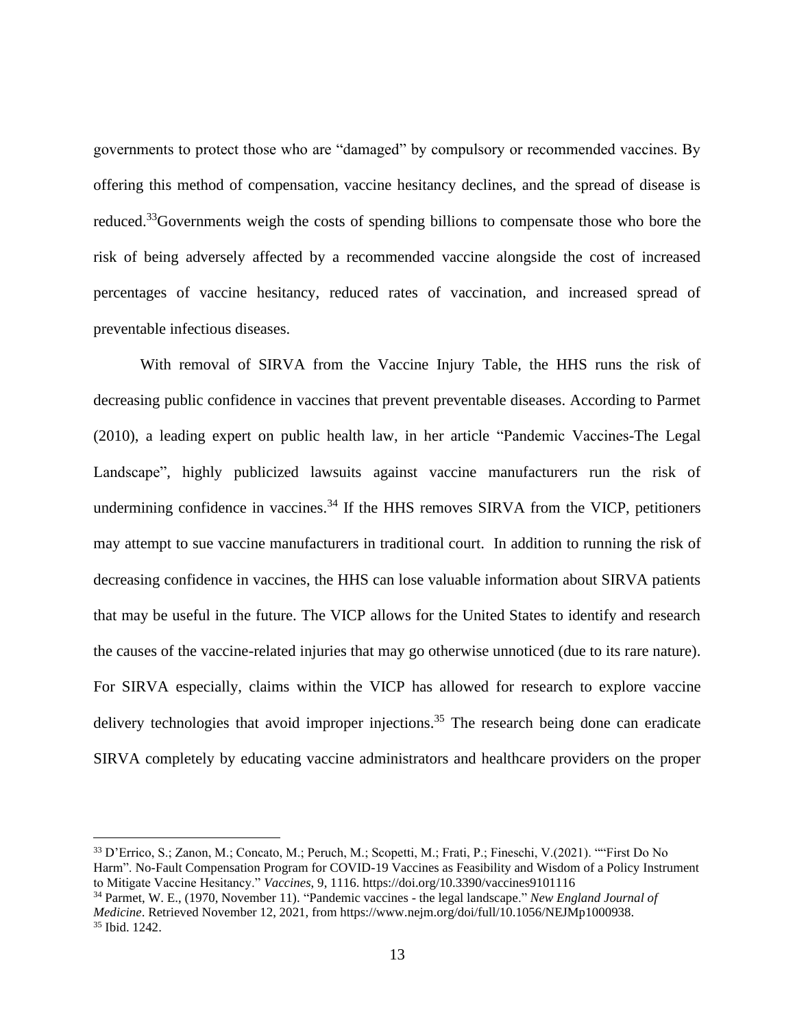governments to protect those who are "damaged" by compulsory or recommended vaccines. By offering this method of compensation, vaccine hesitancy declines, and the spread of disease is reduced.<sup>33</sup>Governments weigh the costs of spending billions to compensate those who bore the risk of being adversely affected by a recommended vaccine alongside the cost of increased percentages of vaccine hesitancy, reduced rates of vaccination, and increased spread of preventable infectious diseases.

With removal of SIRVA from the Vaccine Injury Table, the HHS runs the risk of decreasing public confidence in vaccines that prevent preventable diseases. According to Parmet (2010), a leading expert on public health law, in her article "Pandemic Vaccines-The Legal Landscape", highly publicized lawsuits against vaccine manufacturers run the risk of undermining confidence in vaccines. $34$  If the HHS removes SIRVA from the VICP, petitioners may attempt to sue vaccine manufacturers in traditional court. In addition to running the risk of decreasing confidence in vaccines, the HHS can lose valuable information about SIRVA patients that may be useful in the future. The VICP allows for the United States to identify and research the causes of the vaccine-related injuries that may go otherwise unnoticed (due to its rare nature). For SIRVA especially, claims within the VICP has allowed for research to explore vaccine delivery technologies that avoid improper injections.<sup>35</sup> The research being done can eradicate SIRVA completely by educating vaccine administrators and healthcare providers on the proper

<sup>34</sup> Parmet, W. E., (1970, November 11). "Pandemic vaccines - the legal landscape." *New England Journal of Medicine*. Retrieved November 12, 2021, from https://www.nejm.org/doi/full/10.1056/NEJMp1000938. <sup>35</sup> Ibid. 1242.

<sup>33</sup> D'Errico, S.; Zanon, M.; Concato, M.; Peruch, M.; Scopetti, M.; Frati, P.; Fineschi, V.(2021). ""First Do No Harm". No-Fault Compensation Program for COVID-19 Vaccines as Feasibility and Wisdom of a Policy Instrument to Mitigate Vaccine Hesitancy." *Vaccines*, 9, 1116. https://doi.org/10.3390/vaccines9101116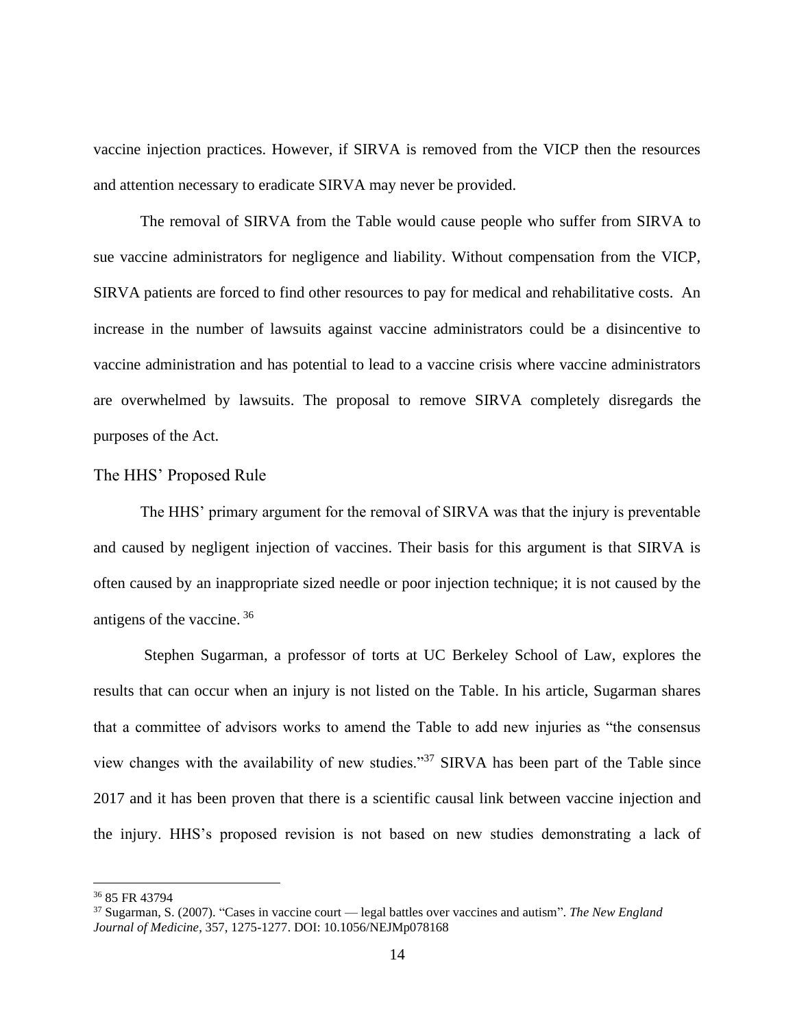vaccine injection practices. However, if SIRVA is removed from the VICP then the resources and attention necessary to eradicate SIRVA may never be provided.

The removal of SIRVA from the Table would cause people who suffer from SIRVA to sue vaccine administrators for negligence and liability. Without compensation from the VICP, SIRVA patients are forced to find other resources to pay for medical and rehabilitative costs. An increase in the number of lawsuits against vaccine administrators could be a disincentive to vaccine administration and has potential to lead to a vaccine crisis where vaccine administrators are overwhelmed by lawsuits. The proposal to remove SIRVA completely disregards the purposes of the Act.

#### <span id="page-18-0"></span>The HHS' Proposed Rule

The HHS' primary argument for the removal of SIRVA was that the injury is preventable and caused by negligent injection of vaccines. Their basis for this argument is that SIRVA is often caused by an inappropriate sized needle or poor injection technique; it is not caused by the antigens of the vaccine. <sup>36</sup>

Stephen Sugarman, a professor of torts at UC Berkeley School of Law, explores the results that can occur when an injury is not listed on the Table. In his article, Sugarman shares that a committee of advisors works to amend the Table to add new injuries as "the consensus view changes with the availability of new studies."<sup>37</sup> SIRVA has been part of the Table since 2017 and it has been proven that there is a scientific causal link between vaccine injection and the injury. HHS's proposed revision is not based on new studies demonstrating a lack of

<sup>36</sup> 85 FR 43794

<sup>37</sup> Sugarman, S. (2007). "Cases in vaccine court — legal battles over vaccines and autism". *The New England Journal of Medicine*, 357, 1275-1277. DOI: 10.1056/NEJMp078168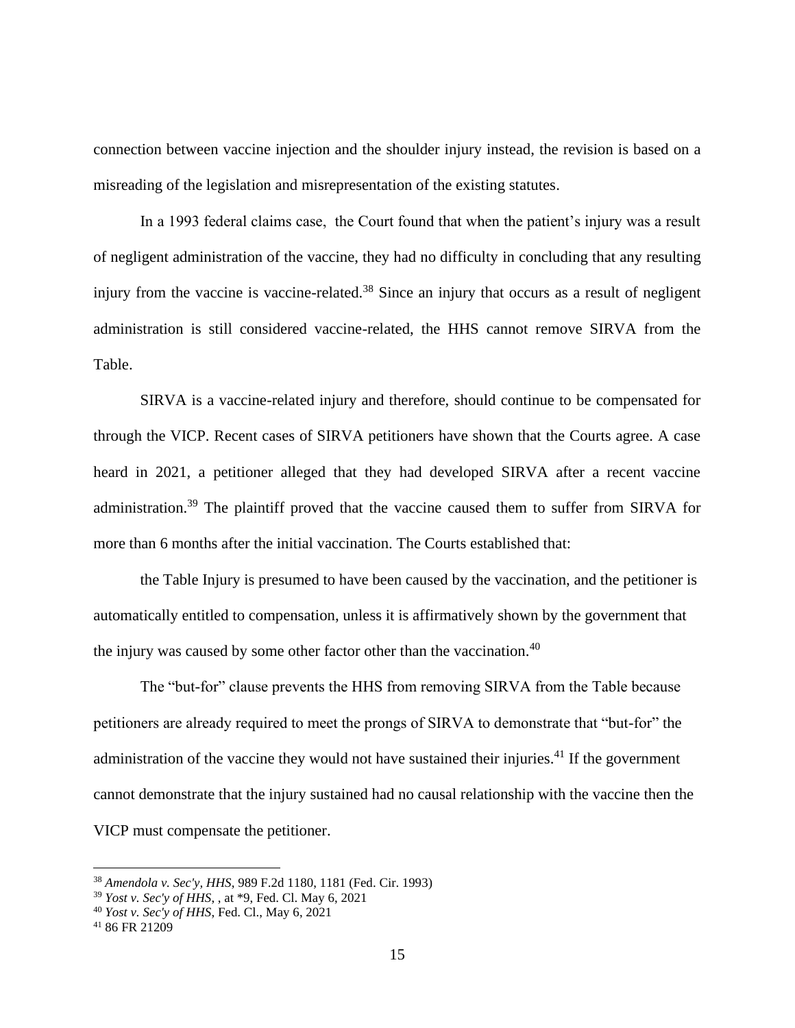connection between vaccine injection and the shoulder injury instead, the revision is based on a misreading of the legislation and misrepresentation of the existing statutes.

In a 1993 federal claims case, the Court found that when the patient's injury was a result of negligent administration of the vaccine, they had no difficulty in concluding that any resulting injury from the vaccine is vaccine-related.<sup>38</sup> Since an injury that occurs as a result of negligent administration is still considered vaccine-related, the HHS cannot remove SIRVA from the Table.

SIRVA is a vaccine-related injury and therefore, should continue to be compensated for through the VICP. Recent cases of SIRVA petitioners have shown that the Courts agree. A case heard in 2021, a petitioner alleged that they had developed SIRVA after a recent vaccine administration.<sup>39</sup> The plaintiff proved that the vaccine caused them to suffer from SIRVA for more than 6 months after the initial vaccination. The Courts established that:

the Table Injury is presumed to have been caused by the vaccination, and the petitioner is automatically entitled to compensation, unless it is affirmatively shown by the government that the injury was caused by some other factor other than the vaccination.<sup>40</sup>

The "but-for" clause prevents the HHS from removing SIRVA from the Table because petitioners are already required to meet the prongs of SIRVA to demonstrate that "but-for" the administration of the vaccine they would not have sustained their injuries.<sup>41</sup> If the government cannot demonstrate that the injury sustained had no causal relationship with the vaccine then the VICP must compensate the petitioner.

<sup>38</sup> *Amendola v. Sec'y, HHS*, 989 F.2d 1180, 1181 (Fed. Cir. 1993)

<sup>39</sup> *Yost v. Sec'y of HHS*, , at \*9, Fed. Cl. May 6, 2021

<sup>40</sup> *Yost v. Sec'y of HHS*, Fed. Cl., May 6, 2021

 $4186$  FR 21209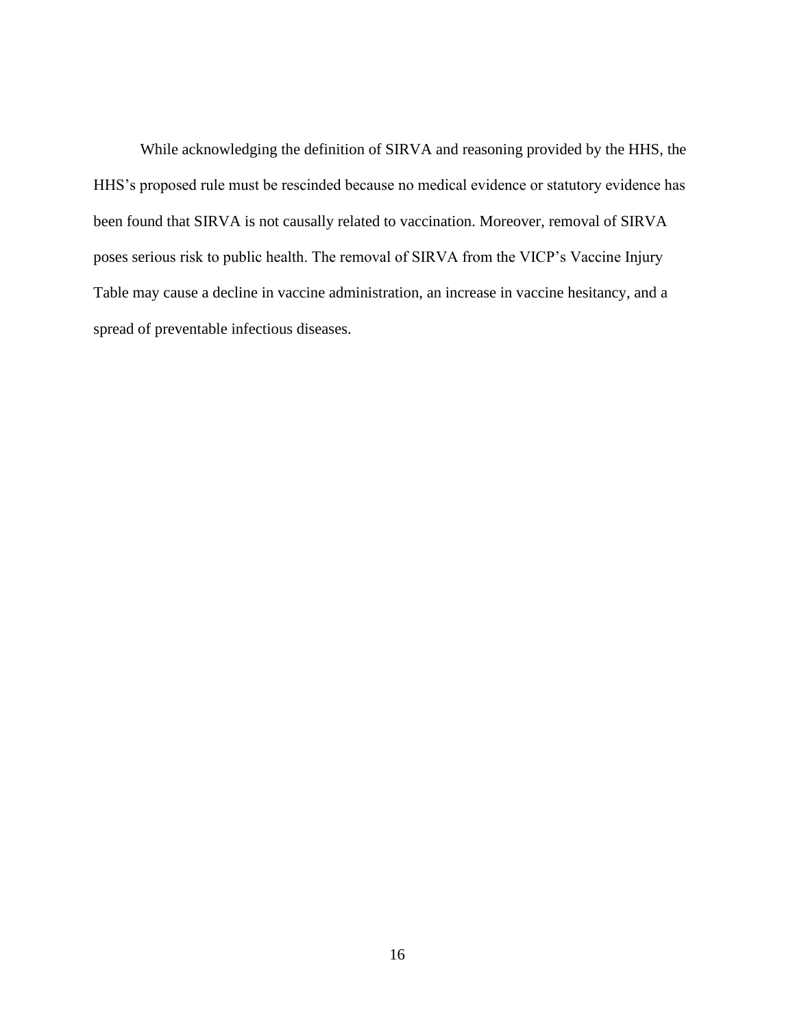While acknowledging the definition of SIRVA and reasoning provided by the HHS, the HHS's proposed rule must be rescinded because no medical evidence or statutory evidence has been found that SIRVA is not causally related to vaccination. Moreover, removal of SIRVA poses serious risk to public health. The removal of SIRVA from the VICP's Vaccine Injury Table may cause a decline in vaccine administration, an increase in vaccine hesitancy, and a spread of preventable infectious diseases.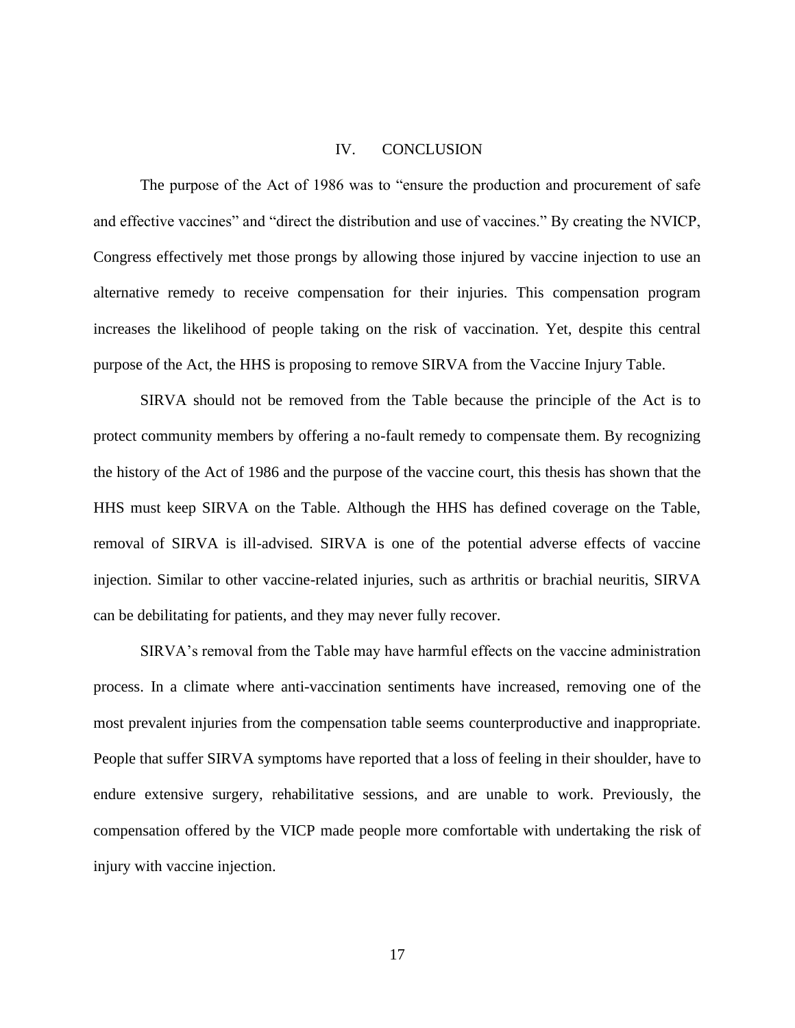#### IV. CONCLUSION

<span id="page-21-0"></span>The purpose of the Act of 1986 was to "ensure the production and procurement of safe and effective vaccines" and "direct the distribution and use of vaccines." By creating the NVICP, Congress effectively met those prongs by allowing those injured by vaccine injection to use an alternative remedy to receive compensation for their injuries. This compensation program increases the likelihood of people taking on the risk of vaccination. Yet, despite this central purpose of the Act, the HHS is proposing to remove SIRVA from the Vaccine Injury Table.

SIRVA should not be removed from the Table because the principle of the Act is to protect community members by offering a no-fault remedy to compensate them. By recognizing the history of the Act of 1986 and the purpose of the vaccine court, this thesis has shown that the HHS must keep SIRVA on the Table. Although the HHS has defined coverage on the Table, removal of SIRVA is ill-advised. SIRVA is one of the potential adverse effects of vaccine injection. Similar to other vaccine-related injuries, such as arthritis or brachial neuritis, SIRVA can be debilitating for patients, and they may never fully recover.

SIRVA's removal from the Table may have harmful effects on the vaccine administration process. In a climate where anti-vaccination sentiments have increased, removing one of the most prevalent injuries from the compensation table seems counterproductive and inappropriate. People that suffer SIRVA symptoms have reported that a loss of feeling in their shoulder, have to endure extensive surgery, rehabilitative sessions, and are unable to work. Previously, the compensation offered by the VICP made people more comfortable with undertaking the risk of injury with vaccine injection.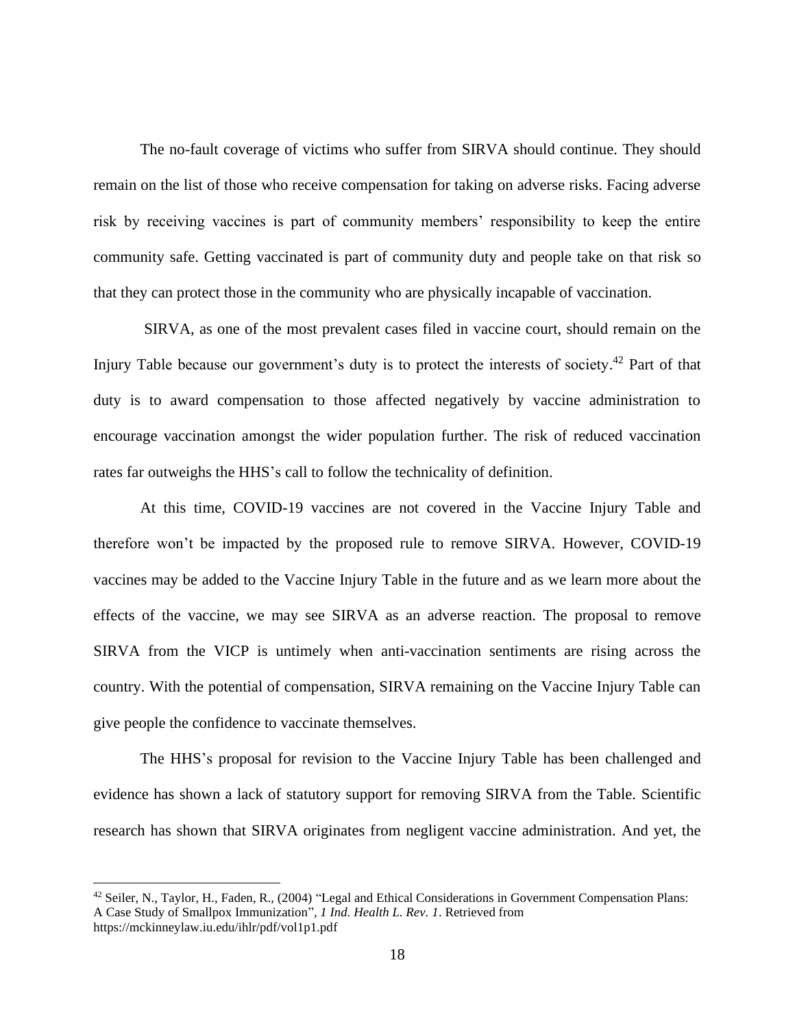The no-fault coverage of victims who suffer from SIRVA should continue. They should remain on the list of those who receive compensation for taking on adverse risks. Facing adverse risk by receiving vaccines is part of community members' responsibility to keep the entire community safe. Getting vaccinated is part of community duty and people take on that risk so that they can protect those in the community who are physically incapable of vaccination.

SIRVA, as one of the most prevalent cases filed in vaccine court, should remain on the Injury Table because our government's duty is to protect the interests of society.<sup>42</sup> Part of that duty is to award compensation to those affected negatively by vaccine administration to encourage vaccination amongst the wider population further. The risk of reduced vaccination rates far outweighs the HHS's call to follow the technicality of definition.

At this time, COVID-19 vaccines are not covered in the Vaccine Injury Table and therefore won't be impacted by the proposed rule to remove SIRVA. However, COVID-19 vaccines may be added to the Vaccine Injury Table in the future and as we learn more about the effects of the vaccine, we may see SIRVA as an adverse reaction. The proposal to remove SIRVA from the VICP is untimely when anti-vaccination sentiments are rising across the country. With the potential of compensation, SIRVA remaining on the Vaccine Injury Table can give people the confidence to vaccinate themselves.

The HHS's proposal for revision to the Vaccine Injury Table has been challenged and evidence has shown a lack of statutory support for removing SIRVA from the Table. Scientific research has shown that SIRVA originates from negligent vaccine administration. And yet, the

<sup>&</sup>lt;sup>42</sup> Seiler, N., Taylor, H., Faden, R., (2004) "Legal and Ethical Considerations in Government Compensation Plans: A Case Study of Smallpox Immunization"*, 1 Ind. Health L. Rev. 1*. Retrieved from https://mckinneylaw.iu.edu/ihlr/pdf/vol1p1.pdf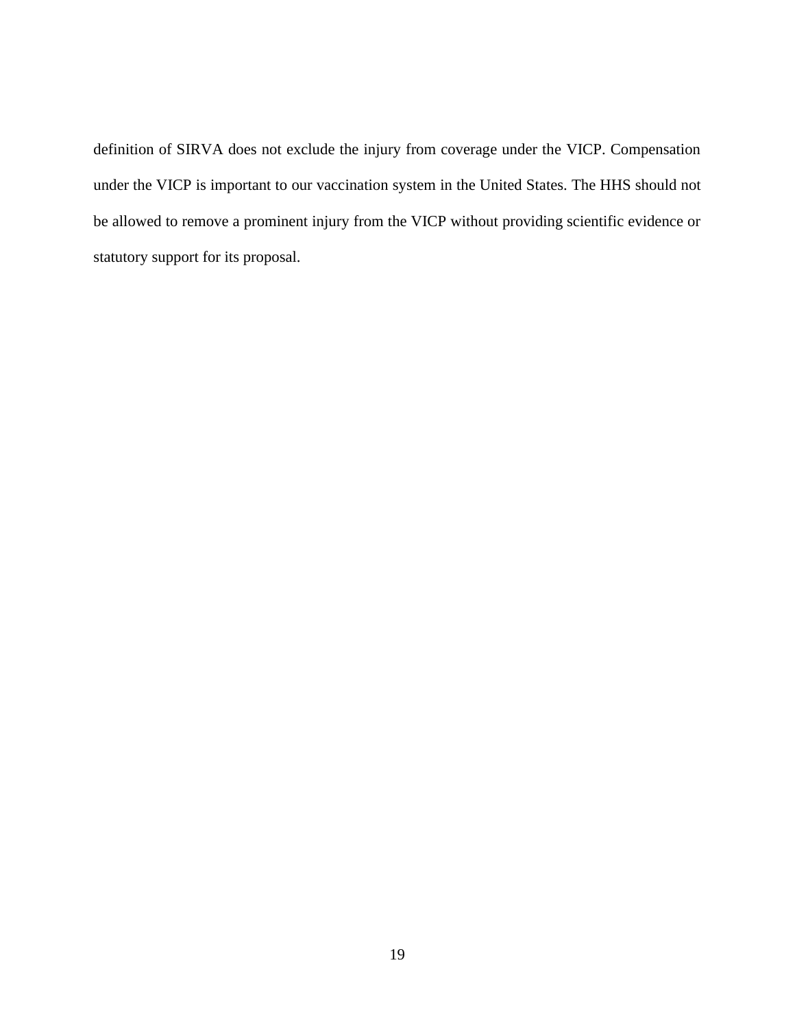definition of SIRVA does not exclude the injury from coverage under the VICP. Compensation under the VICP is important to our vaccination system in the United States. The HHS should not be allowed to remove a prominent injury from the VICP without providing scientific evidence or statutory support for its proposal.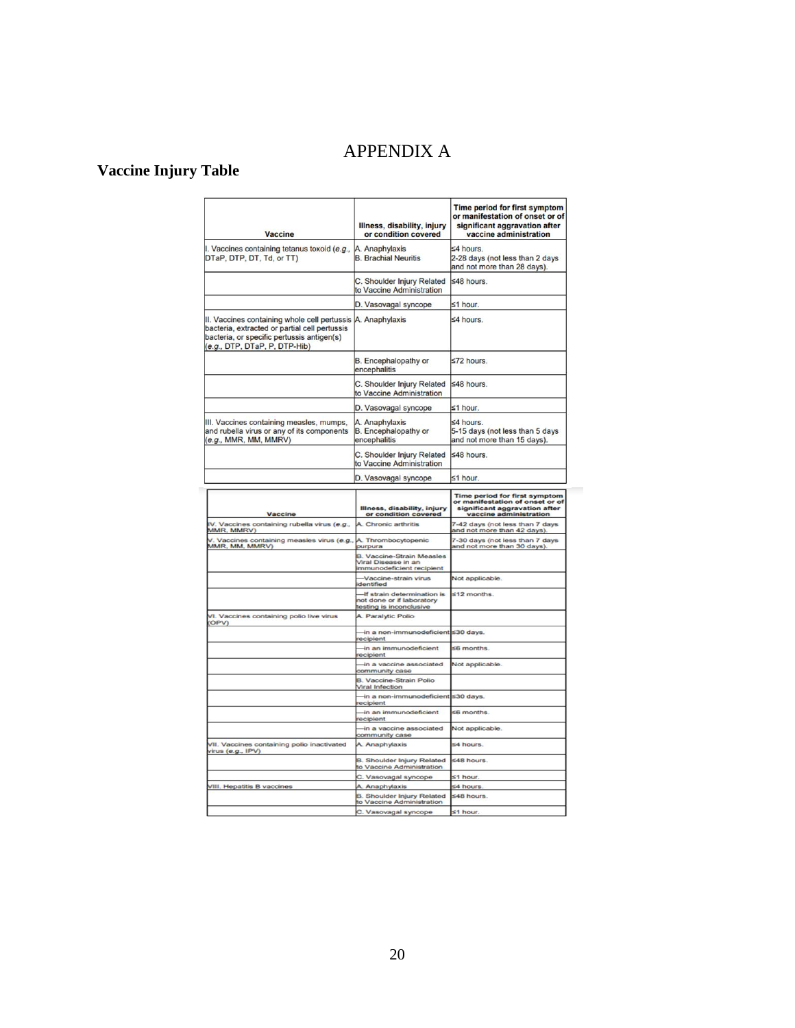## APPENDIX A

## <span id="page-24-0"></span>**Vaccine Injury Table**

| <b>Vaccine</b>                                                                                                                                                                              | Illness, disability, injury<br>or condition covered                                 | <b>Time period for first symptom</b><br>or manifestation of onset or of<br>significant aggravation after<br>vaccine administration |
|---------------------------------------------------------------------------------------------------------------------------------------------------------------------------------------------|-------------------------------------------------------------------------------------|------------------------------------------------------------------------------------------------------------------------------------|
| I. Vaccines containing tetanus toxoid (e.g.,<br>DTaP, DTP, DT, Td, or TT)                                                                                                                   | A. Anaphylaxis<br><b>B.</b> Brachial Neuritis                                       | ≤4 hours.<br>2-28 days (not less than 2 days<br>and not more than 28 days).                                                        |
|                                                                                                                                                                                             | C. Shoulder Injury Related<br>to Vaccine Administration                             | ≤48 hours.                                                                                                                         |
|                                                                                                                                                                                             | D. Vasovagal syncope                                                                | ≤1 hour.                                                                                                                           |
| II. Vaccines containing whole cell pertussis A. Anaphylaxis<br>bacteria, extracted or partial cell pertussis<br>bacteria, or specific pertussis antigen(s)<br>(e.g., DTP, DTaP, P, DTP-Hib) |                                                                                     | ≤4 hours.                                                                                                                          |
|                                                                                                                                                                                             | B. Encephalopathy or<br>encephalitis                                                | ≤72 hours.                                                                                                                         |
|                                                                                                                                                                                             | C. Shoulder Injury Related<br>to Vaccine Administration                             | ≤48 hours.                                                                                                                         |
|                                                                                                                                                                                             | D. Vasovagal syncope                                                                | ≤1 hour.                                                                                                                           |
| III. Vaccines containing measles, mumps,<br>and rubella virus or any of its components<br>(e.g., MMR, MM, MMRV)                                                                             | A. Anaphylaxis<br>B. Encephalopathy or<br>encephalitis                              | ≤4 hours.<br>5-15 days (not less than 5 days<br>and not more than 15 days).                                                        |
|                                                                                                                                                                                             | C. Shoulder Injury Related<br>to Vaccine Administration                             | ≤48 hours.                                                                                                                         |
|                                                                                                                                                                                             | D. Vasovagal syncope                                                                | ≤1 hour.                                                                                                                           |
| Vaccine                                                                                                                                                                                     | Illness, disability, injury<br>or condition covered                                 | <b>Time period for first symptom</b><br>or manifestation of onset or of<br>significant aggravation after<br>vaccine administration |
| V. Vaccines containing rubella virus (e.g.,<br>MMR, MMRV)                                                                                                                                   | A. Chronic arthritis                                                                | 7-42 days (not less than 7 days<br>and not more than 42 days).                                                                     |
| V. Vaccines containing measles virus (e.g.,<br>MMR, MM, MMRV)                                                                                                                               | A. Thrombocytopenic<br>purpura                                                      | 7-30 days (not less than 7 days<br>and not more than 30 days).                                                                     |
|                                                                                                                                                                                             | <b>B. Vaccine-Strain Measles</b><br>Viral Disease in an<br>mmunodeficient recipient |                                                                                                                                    |
|                                                                                                                                                                                             | -Vaccine-strain virus<br>dentified                                                  | Not applicable.                                                                                                                    |
|                                                                                                                                                                                             | -If strain determination is<br>not done or if laboratory<br>testing is inconclusive | $≤12$ months                                                                                                                       |
| VI. Vaccines containing polio live virus<br><b>OPV)</b>                                                                                                                                     | A. Paralytic Polio                                                                  |                                                                                                                                    |
|                                                                                                                                                                                             | in a non-immunodeficient ≤30 days.<br>ecipient                                      |                                                                                                                                    |
|                                                                                                                                                                                             | in an immunodeficient<br>ecipient                                                   | $$6$ months.                                                                                                                       |
|                                                                                                                                                                                             | in a vaccine associated<br>community case                                           | Not applicable.                                                                                                                    |
|                                                                                                                                                                                             | <b>B. Vaccine-Strain Polio</b><br>Viral Infection                                   |                                                                                                                                    |
|                                                                                                                                                                                             | ⊣n a non-immunodeficient ≤30 days.<br>recipient                                     |                                                                                                                                    |
|                                                                                                                                                                                             | in an immunodeficient<br>recipient                                                  | $$6$ months.                                                                                                                       |
|                                                                                                                                                                                             | in a vaccine associated<br>community case                                           | Not applicable.                                                                                                                    |
| VII. Vaccines containing polio inactivated<br>virus (e.g., IPV)                                                                                                                             | A. Anaphylaxis                                                                      | £4 hours.                                                                                                                          |
|                                                                                                                                                                                             | <b>B. Shoulder Injury Related</b><br>to Vaccine Administration                      | \$48 hours.                                                                                                                        |
|                                                                                                                                                                                             | C. Vasovagal syncope                                                                | ≤1 hour.                                                                                                                           |
| VIII. Hepatitis B vaccines                                                                                                                                                                  | A. Anaphylaxis<br><b>B. Shoulder Injury Related</b>                                 | ≤4 hours<br>≤48 hours.                                                                                                             |
|                                                                                                                                                                                             | to Vaccine Administration<br>C. Vasovagal syncope                                   | $≤1$ hour.                                                                                                                         |
|                                                                                                                                                                                             |                                                                                     |                                                                                                                                    |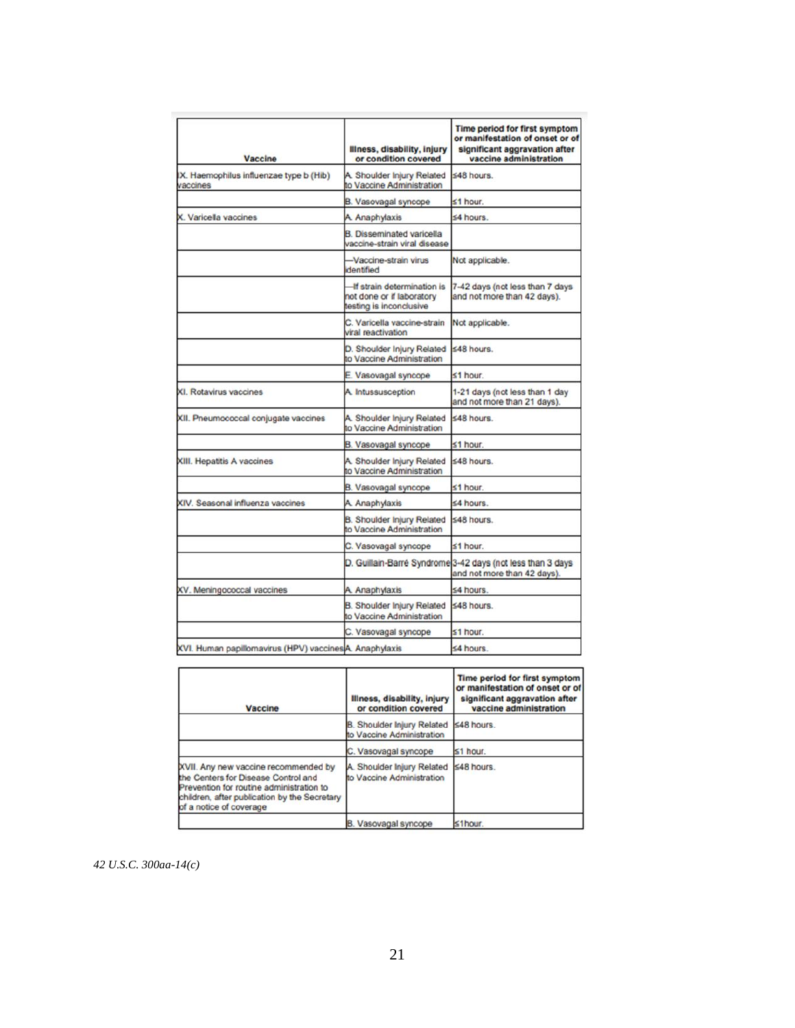| Vaccine                                                 | Illness, disability, injury<br>or condition covered                                 | Time period for first symptom<br>or manifestation of onset or of<br>significant aggravation after<br>vaccine administration |
|---------------------------------------------------------|-------------------------------------------------------------------------------------|-----------------------------------------------------------------------------------------------------------------------------|
| IX. Haemophilus influenzae type b (Hib)<br>vaccines     | A. Shoulder Injury Related<br>to Vaccine Administration                             | $$48$ hours.                                                                                                                |
|                                                         | B. Vasovagal syncope                                                                | ≤1 hour.                                                                                                                    |
| X. Varicella vaccines                                   | A. Anaphylaxis                                                                      | $≤4$ hours.                                                                                                                 |
|                                                         | <b>B.</b> Disseminated varicella<br>vaccine-strain viral disease                    |                                                                                                                             |
|                                                         | -Vaccine-strain virus<br>dentified                                                  | Not applicable.                                                                                                             |
|                                                         | -If strain determination is<br>not done or if laboratory<br>testing is inconclusive | 7-42 days (not less than 7 days<br>and not more than 42 days).                                                              |
|                                                         | C. Varicella vaccine-strain<br>viral reactivation                                   | Not applicable.                                                                                                             |
|                                                         | D. Shoulder Injury Related<br>to Vaccine Administration                             | $<$ 48 hours                                                                                                                |
|                                                         | Vasovagal syncope                                                                   | $<$ 1 hour.                                                                                                                 |
| XI. Rotavirus vaccines                                  | A. Intussusception                                                                  | 1-21 days (not less than 1 day<br>and not more than 21 days).                                                               |
| XII. Pneumococcal conjugate vaccines                    | A. Shoulder Injury Related<br>to Vaccine Administration                             | ≤48 hours.                                                                                                                  |
|                                                         | B. Vasovagal syncope                                                                | ≤1 hour.                                                                                                                    |
| XIII. Hepatitis A vaccines                              | A. Shoulder Injury Related<br>to Vaccine Administration                             | ≤48 hours.                                                                                                                  |
|                                                         | B. Vasovagal syncope                                                                | $≤1$ hour.                                                                                                                  |
| XIV. Seasonal influenza vaccines                        | A. Anaphylaxis                                                                      | $≤4 hours$ .                                                                                                                |
|                                                         | <b>B.</b> Shoulder Injury Related<br>to Vaccine Administration                      | ≤48 hours.                                                                                                                  |
|                                                         | C. Vasovagal syncope                                                                | ≤1 hour.                                                                                                                    |
|                                                         |                                                                                     | D. Guillain-Barré Syndrome 3-42 days (not less than 3 days<br>and not more than 42 days).                                   |
| XV. Meningococcal vaccines                              | A. Anaphylaxis                                                                      | ≤4 hours.                                                                                                                   |
|                                                         | <b>B.</b> Shoulder Injury Related<br>to Vaccine Administration                      | $548$ hours.                                                                                                                |
|                                                         | C. Vasovagal syncope                                                                | $≤1$ hour.                                                                                                                  |
| XVI. Human papillomavirus (HPV) vaccines A. Anaphylaxis | ≤4 hours.                                                                           |                                                                                                                             |

| Vaccine                                                                                                                                                                                            | Illness, disability, injury<br>or condition covered            | Time period for first symptom<br>or manifestation of onset or of<br>significant aggravation after<br>vaccine administration |
|----------------------------------------------------------------------------------------------------------------------------------------------------------------------------------------------------|----------------------------------------------------------------|-----------------------------------------------------------------------------------------------------------------------------|
|                                                                                                                                                                                                    | <b>B. Shoulder Injury Related</b><br>to Vaccine Administration | ≤48 hours.                                                                                                                  |
|                                                                                                                                                                                                    | C. Vasovagal syncope                                           | $\leq 1$ hour.                                                                                                              |
| XVII. Any new vaccine recommended by<br>the Centers for Disease Control and<br>Prevention for routine administration to<br>children, after publication by the Secretary<br>of a notice of coverage | A. Shoulder Injury Related<br>to Vaccine Administration        | ≤48 hours.                                                                                                                  |
|                                                                                                                                                                                                    | B. Vasovagal syncope                                           | ≤1hour.                                                                                                                     |

*42 U.S.C. 300aa-14(c)*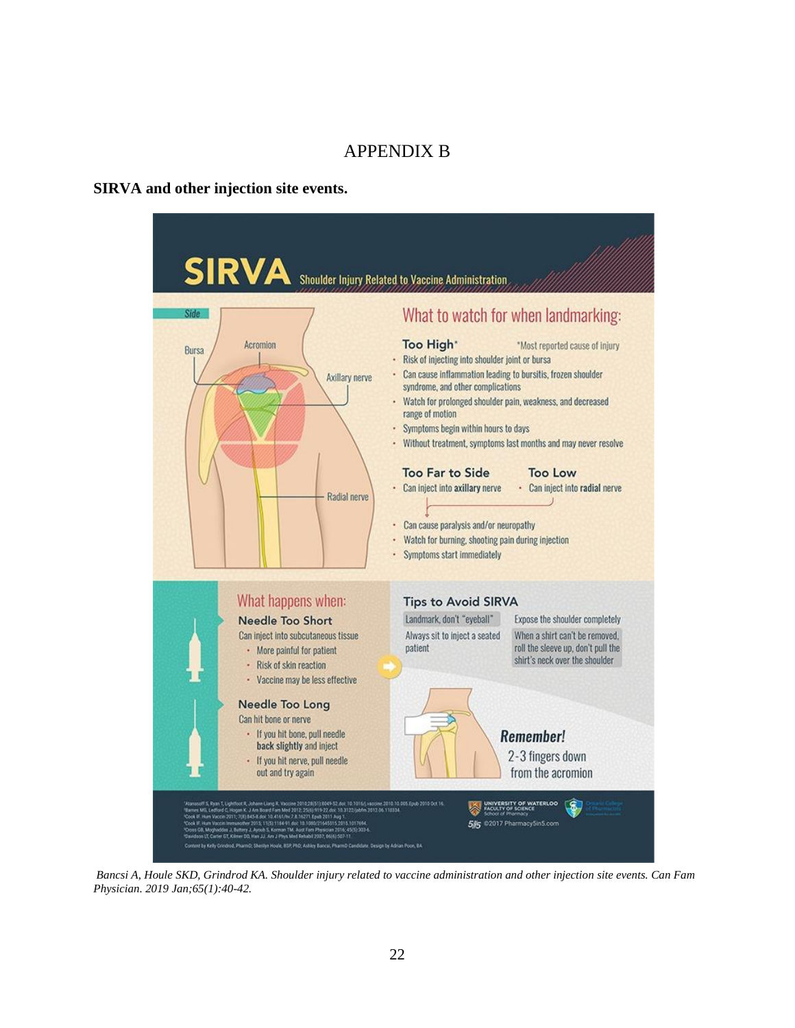## APPENDIX B

#### <span id="page-26-0"></span>**SIRVA and other injection site events.**



*Bancsi A, Houle SKD, Grindrod KA. Shoulder injury related to vaccine administration and other injection site events. Can Fam Physician. 2019 Jan;65(1):40-42.*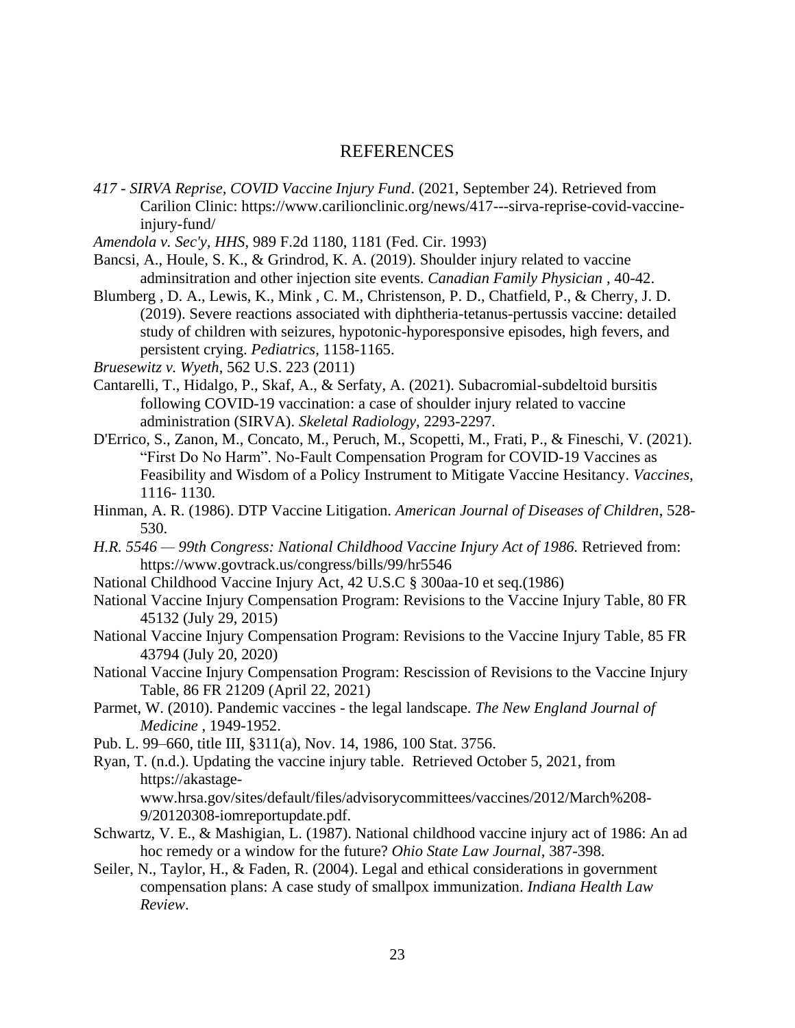### REFERENCES

- <span id="page-27-0"></span>*417 - SIRVA Reprise, COVID Vaccine Injury Fund*. (2021, September 24). Retrieved from Carilion Clinic: https://www.carilionclinic.org/news/417---sirva-reprise-covid-vaccineinjury-fund/
- *Amendola v. Sec'y, HHS*, 989 F.2d 1180, 1181 (Fed. Cir. 1993)
- Bancsi, A., Houle, S. K., & Grindrod, K. A. (2019). Shoulder injury related to vaccine adminsitration and other injection site events. *Canadian Family Physician* , 40-42.
- Blumberg , D. A., Lewis, K., Mink , C. M., Christenson, P. D., Chatfield, P., & Cherry, J. D. (2019). Severe reactions associated with diphtheria-tetanus-pertussis vaccine: detailed study of children with seizures, hypotonic-hyporesponsive episodes, high fevers, and persistent crying. *Pediatrics*, 1158-1165.
- *Bruesewitz v. Wyeth*, 562 U.S. 223 (2011)
- Cantarelli, T., Hidalgo, P., Skaf, A., & Serfaty, A. (2021). Subacromial-subdeltoid bursitis following COVID-19 vaccination: a case of shoulder injury related to vaccine administration (SIRVA). *Skeletal Radiology*, 2293-2297.
- D'Errico, S., Zanon, M., Concato, M., Peruch, M., Scopetti, M., Frati, P., & Fineschi, V. (2021). "First Do No Harm". No-Fault Compensation Program for COVID-19 Vaccines as Feasibility and Wisdom of a Policy Instrument to Mitigate Vaccine Hesitancy. *Vaccines*, 1116- 1130.
- Hinman, A. R. (1986). DTP Vaccine Litigation. *American Journal of Diseases of Children*, 528- 530.
- *H.R. 5546 — 99th Congress: National Childhood Vaccine Injury Act of 1986.* Retrieved from: https://www.govtrack.us/congress/bills/99/hr5546
- National Childhood Vaccine Injury Act, 42 U.S.C § 300aa-10 et seq.(1986)
- National Vaccine Injury Compensation Program: Revisions to the Vaccine Injury Table, 80 FR 45132 (July 29, 2015)
- National Vaccine Injury Compensation Program: Revisions to the Vaccine Injury Table, 85 FR 43794 (July 20, 2020)
- National Vaccine Injury Compensation Program: Rescission of Revisions to the Vaccine Injury Table, 86 FR 21209 (April 22, 2021)
- Parmet, W. (2010). Pandemic vaccines the legal landscape. *The New England Journal of Medicine* , 1949-1952.
- Pub. L. 99–660, title III, §311(a), Nov. 14, 1986, 100 Stat. 3756.
- Ryan, T. (n.d.). Updating the vaccine injury table. Retrieved October 5, 2021, from https://akastagewww.hrsa.gov/sites/default/files/advisorycommittees/vaccines/2012/March%208- 9/20120308-iomreportupdate.pdf.
- Schwartz, V. E., & Mashigian, L. (1987). National childhood vaccine injury act of 1986: An ad hoc remedy or a window for the future? *Ohio State Law Journal*, 387-398.
- Seiler, N., Taylor, H., & Faden, R. (2004). Legal and ethical considerations in government compensation plans: A case study of smallpox immunization. *Indiana Health Law Review*.